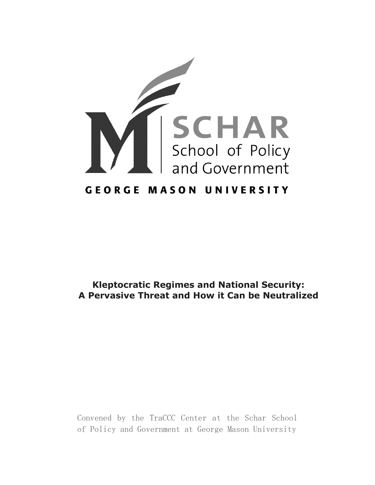

# **Kleptocratic Regimes and National Security: A Pervasive Threat and How it Can be Neutralized**

Convened by the TraCCC Center at the Schar School of Policy and Government at George Mason University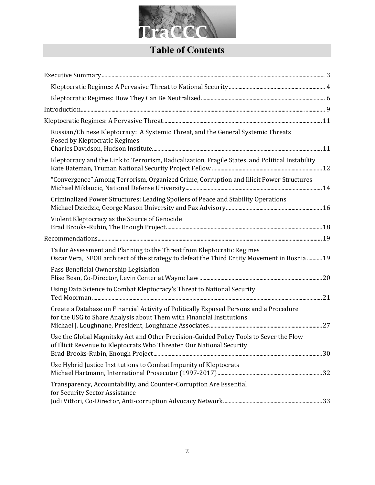

# **Table of Contents**

| Russian/Chinese Kleptocracy: A Systemic Threat, and the General Systemic Threats<br>Posed by Kleptocratic Regimes                                                      |  |
|------------------------------------------------------------------------------------------------------------------------------------------------------------------------|--|
| Kleptocracy and the Link to Terrorism, Radicalization, Fragile States, and Political Instability                                                                       |  |
| "Convergence" Among Terrorism, Organized Crime, Corruption and Illicit Power Structures                                                                                |  |
| Criminalized Power Structures: Leading Spoilers of Peace and Stability Operations                                                                                      |  |
| Violent Kleptocracy as the Source of Genocide                                                                                                                          |  |
|                                                                                                                                                                        |  |
| Tailor Assessment and Planning to the Threat from Kleptocratic Regimes<br>Oscar Vera, SFOR architect of the strategy to defeat the Third Entity Movement in Bosnia  19 |  |
| Pass Beneficial Ownership Legislation                                                                                                                                  |  |
| Using Data Science to Combat Kleptocracy's Threat to National Security                                                                                                 |  |
| Create a Database on Financial Activity of Politically Exposed Persons and a Procedure<br>for the USG to Share Analysis about Them with Financial Institutions         |  |
| Use the Global Magnitsky Act and Other Precision-Guided Policy Tools to Sever the Flow<br>of Illicit Revenue to Kleptocrats Who Threaten Our National Security         |  |
| Use Hybrid Justice Institutions to Combat Impunity of Kleptocrats                                                                                                      |  |
| Transparency, Accountability, and Counter-Corruption Are Essential<br>for Security Sector Assistance                                                                   |  |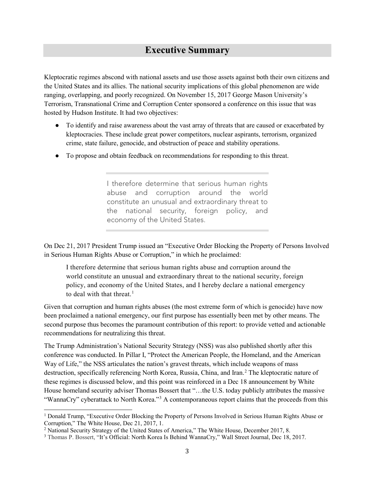# **Executive Summary**

<span id="page-2-0"></span>Kleptocratic regimes abscond with national assets and use those assets against both their own citizens and the United States and its allies. The national security implications of this global phenomenon are wide ranging, overlapping, and poorly recognized. On November 15, 2017 George Mason University's Terrorism, Transnational Crime and Corruption Center sponsored a conference on this issue that was hosted by Hudson Institute. It had two objectives:

- To identify and raise awareness about the vast array of threats that are caused or exacerbated by kleptocracies. These include great power competitors, nuclear aspirants, terrorism, organized crime, state failure, genocide, and obstruction of peace and stability operations.
- To propose and obtain feedback on recommendations for responding to this threat.

I therefore determine that serious human rights abuse and corruption around the world constitute an unusual and extraordinary threat to the national security, foreign policy, and economy of the United States.

On Dec 21, 2017 President Trump issued an "Executive Order Blocking the Property of Persons Involved in Serious Human Rights Abuse or Corruption," in which he proclaimed:

I therefore determine that serious human rights abuse and corruption around the world constitute an unusual and extraordinary threat to the national security, foreign policy, and economy of the United States, and I hereby declare a national emergency to deal with that threat.<sup>[1](#page-2-1)</sup>

Given that corruption and human rights abuses (the most extreme form of which is genocide) have now been proclaimed a national emergency, our first purpose has essentially been met by other means. The second purpose thus becomes the paramount contribution of this report: to provide vetted and actionable recommendations for neutralizing this threat.

The Trump Administration's National Security Strategy (NSS) was also published shortly after this conference was conducted. In Pillar I, "Protect the American People, the Homeland, and the American Way of Life," the NSS articulates the nation's gravest threats, which include weapons of mass destruction, specifically referencing North Korea, Russia, China, and Iran.<sup>[2](#page-2-2)</sup> The kleptocratic nature of these regimes is discussed below, and this point was reinforced in a Dec 18 announcement by White House homeland security adviser Thomas Bossert that "...the U.S. today publicly attributes the massive "WannaCry" cyberattack to North Korea."<sup>[3](#page-2-3)</sup> A contemporaneous report claims that the proceeds from this

l

<span id="page-2-1"></span><sup>1</sup> Donald Trump, "Executive Order Blocking the Property of Persons Involved in Serious Human Rights Abuse or Corruption," The White House, Dec 21, 2017, 1.

<span id="page-2-2"></span><sup>&</sup>lt;sup>2</sup> National Security Strategy of the United States of America," The White House, December 2017, 8.

<span id="page-2-3"></span><sup>&</sup>lt;sup>3</sup> Thomas P. Bossert, "It's Official: North Korea Is Behind WannaCry," Wall Street Journal, Dec 18, 2017.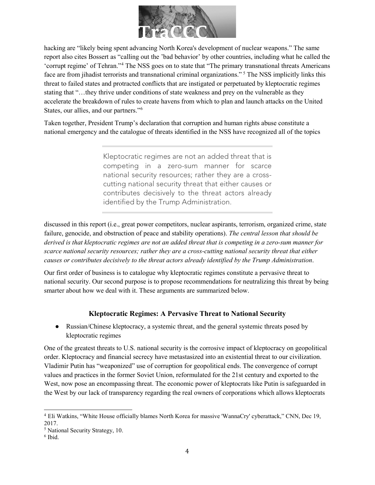

hacking are "likely being spent advancing North Korea's development of nuclear weapons." The same report also cites Bossert as "calling out the 'bad behavior' by other countries, including what he called the 'corrupt regime' of Tehran."[4](#page-3-1) The NSS goes on to state that "The primary transnational threats Americans face are from jihadist terrorists and transnational criminal organizations." [5](#page-3-2) The NSS implicitly links this threat to failed states and protracted conflicts that are instigated or perpetuated by kleptocratic regimes stating that "…they thrive under conditions of state weakness and prey on the vulnerable as they accelerate the breakdown of rules to create havens from which to plan and launch attacks on the United States, our allies, and our partners.["6](#page-3-3)

Taken together, President Trump's declaration that corruption and human rights abuse constitute a national emergency and the catalogue of threats identified in the NSS have recognized all of the topics

> Kleptocratic regimes are not an added threat that is competing in a zero-sum manner for scarce national security resources; rather they are a crosscutting national security threat that either causes or contributes decisively to the threat actors already identified by the Trump Administration.

discussed in this report (i.e., great power competitors, nuclear aspirants, terrorism, organized crime, state failure, genocide, and obstruction of peace and stability operations). *The central lesson that should be derived is that kleptocratic regimes are not an added threat that is competing in a zero-sum manner for scarce national security resources; rather they are a cross-cutting national security threat that either causes or contributes decisively to the threat actors already identified by the Trump Administration*.

Our first order of business is to catalogue why kleptocratic regimes constitute a pervasive threat to national security. Our second purpose is to propose recommendations for neutralizing this threat by being smarter about how we deal with it. These arguments are summarized below.

#### **Kleptocratic Regimes: A Pervasive Threat to National Security**

<span id="page-3-0"></span>● Russian/Chinese kleptocracy, a systemic threat, and the general systemic threats posed by kleptocratic regimes

One of the greatest threats to U.S. national security is the corrosive impact of kleptocracy on geopolitical order. Kleptocracy and financial secrecy have metastasized into an existential threat to our civilization. Vladimir Putin has "weaponized" use of corruption for geopolitical ends. The convergence of corrupt values and practices in the former Soviet Union, reformulated for the 21st century and exported to the West, now pose an encompassing threat. The economic power of kleptocrats like Putin is safeguarded in the West by our lack of transparency regarding the real owners of corporations which allows kleptocrats

l

<span id="page-3-1"></span><sup>4</sup> [Eli Watkins,](http://www.cnn.com/profiles/eli-watkins) "White House officially blames North Korea for massive 'WannaCry' cyberattack," CNN, Dec 19, 2017.

<span id="page-3-2"></span><sup>5</sup> National Security Strategy, 10.

<span id="page-3-3"></span><sup>6</sup> Ibid.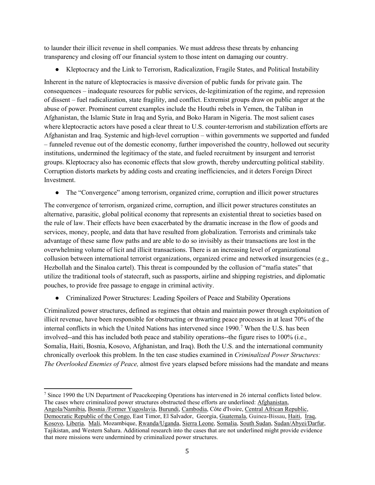to launder their illicit revenue in shell companies. We must address these threats by enhancing transparency and closing off our financial system to those intent on damaging our country.

• Kleptocracy and the Link to Terrorism, Radicalization, Fragile States, and Political Instability

Inherent in the nature of kleptocracies is massive diversion of public funds for private gain. The consequences – inadequate resources for public services, de-legitimization of the regime, and repression of dissent – fuel radicalization, state fragility, and conflict. Extremist groups draw on public anger at the abuse of power. Prominent current examples include the Houthi rebels in Yemen, the Taliban in Afghanistan, the Islamic State in Iraq and Syria, and Boko Haram in Nigeria. The most salient cases where kleptocractic actors have posed a clear threat to U.S. counter-terrorism and stabilization efforts are Afghanistan and Iraq. Systemic and high-level corruption – within governments we supported and funded – funneled revenue out of the domestic economy, further impoverished the country, hollowed out security institutions, undermined the legitimacy of the state, and fueled recruitment by insurgent and terrorist groups. Kleptocracy also has economic effects that slow growth, thereby undercutting political stability. Corruption distorts markets by adding costs and creating inefficiencies, and it deters Foreign Direct **Investment** 

• The "Convergence" among terrorism, organized crime, corruption and illicit power structures

The convergence of terrorism, organized crime, corruption, and illicit power structures constitutes an alternative, parasitic, global political economy that represents an existential threat to societies based on the rule of law. Their effects have been exacerbated by the dramatic increase in the flow of goods and services, money, people, and data that have resulted from globalization. Terrorists and criminals take advantage of these same flow paths and are able to do so invisibly as their transactions are lost in the overwhelming volume of licit and illicit transactions. There is an increasing level of organizational collusion between international terrorist organizations, organized crime and networked insurgencies (e.g., Hezbollah and the Sinaloa cartel). This threat is compounded by the collusion of "mafia states" that utilize the traditional tools of statecraft, such as passports, airline and shipping registries, and diplomatic pouches, to provide free passage to engage in criminal activity.

● Criminalized Power Structures: Leading Spoilers of Peace and Stability Operations

Criminalized power structures, defined as regimes that obtain and maintain power through exploitation of illicit revenue, have been responsible for obstructing or thwarting peace processes in at least 70% of the internal conflicts in which the United Nations has intervened since 1990.[7](#page-4-0) When the U.S. has been involved--and this has included both peace and stability operations--the figure rises to 100% (i.e., Somalia, Haiti, Bosnia, Kosovo, Afghanistan, and Iraq). Both the U.S. and the international community chronically overlook this problem. In the ten case studies examined in *Criminalized Power Structures: The Overlooked Enemies of Peace,* almost five years elapsed before missions had the mandate and means

<span id="page-4-0"></span> $\overline{a}$ <sup>7</sup> Since 1990 the UN Department of Peacekeeping Operations has intervened in 26 internal conflicts listed below. The cases where criminalized power structures obstructed these efforts are underlined: Afghanistan, Angola/Namibia, Bosnia /Former Yugoslavia, Burundi, Cambodia, Côte d'Ivoire, Central African Republic, Democratic Republic of the Congo, East Timor, El Salvador, Georgia, Guatemala, Guinea-Bissau, Haiti, Iraq, Kosovo, Liberia, Mali, Mozambique, Rwanda/Uganda, Sierra Leone, Somalia, South Sudan, Sudan/Abyei/Darfur, Tajikistan, and Western Sahara. Additional research into the cases that are not underlined might provide evidence that more missions were undermined by criminalized power structures.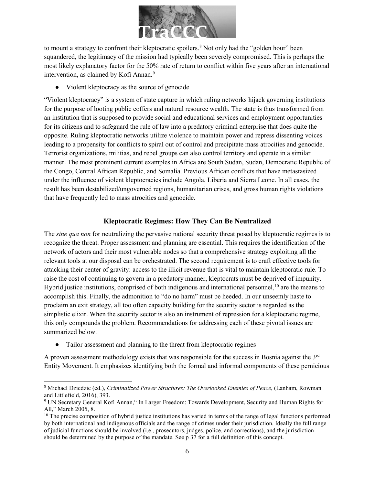

to mount a strategy to confront their kleptocratic spoilers.<sup>[8](#page-5-1)</sup> Not only had the "golden hour" been squandered, the legitimacy of the mission had typically been severely compromised. This is perhaps the most likely explanatory factor for the 50% rate of return to conflict within five years after an international intervention, as claimed by Kofi Annan.<sup>9</sup>

● Violent kleptocracy as the source of genocide

"Violent kleptocracy" is a system of state capture in which ruling networks hijack governing institutions for the purpose of looting public coffers and natural resource wealth. The state is thus transformed from an institution that is supposed to provide social and educational services and employment opportunities for its citizens and to safeguard the rule of law into a predatory criminal enterprise that does quite the opposite. Ruling kleptocratic networks utilize violence to maintain power and repress dissenting voices leading to a propensity for conflicts to spiral out of control and precipitate mass atrocities and genocide. Terrorist organizations, militias, and rebel groups can also control territory and operate in a similar manner. The most prominent current examples in Africa are South Sudan, Sudan, Democratic Republic of the Congo, Central African Republic, and Somalia. Previous African conflicts that have metastasized under the influence of violent kleptocracies include Angola, Liberia and Sierra Leone. In all cases, the result has been destabilized/ungoverned regions, humanitarian crises, and gross human rights violations that have frequently led to mass atrocities and genocide.

#### **Kleptocratic Regimes: How They Can Be Neutralized**

<span id="page-5-0"></span>The *sine qua non* for neutralizing the pervasive national security threat posed by kleptocratic regimes is to recognize the threat. Proper assessment and planning are essential. This requires the identification of the network of actors and their most vulnerable nodes so that a comprehensive strategy exploiting all the relevant tools at our disposal can be orchestrated. The second requirement is to craft effective tools for attacking their center of gravity: access to the illicit revenue that is vital to maintain kleptocratic rule. To raise the cost of continuing to govern in a predatory manner, kleptocrats must be deprived of impunity. Hybrid justice institutions, comprised of both indigenous and international personnel,  $10$  are the means to accomplish this. Finally, the admonition to "do no harm" must be heeded. In our unseemly haste to proclaim an exit strategy, all too often capacity building for the security sector is regarded as the simplistic elixir. When the security sector is also an instrument of repression for a kleptocratic regime, this only compounds the problem. Recommendations for addressing each of these pivotal issues are summarized below.

● Tailor assessment and planning to the threat from kleptocratic regimes

A proven assessment methodology exists that was responsible for the success in Bosnia against the 3rd Entity Movement. It emphasizes identifying both the formal and informal components of these pernicious

<span id="page-5-1"></span> $\overline{\phantom{0}}$ <sup>8</sup> Michael Dziedzic (ed.), *Criminalized Power Structures: The Overlooked Enemies of Peace*, (Lanham, Rowman and Littlefield, 2016), 393.

<span id="page-5-2"></span><sup>9</sup> UN Secretary General Kofi Annan," In Larger Freedom: Towards Development, Security and Human Rights for All," March 2005, 8.

<span id="page-5-3"></span> $10$  The precise composition of hybrid justice institutions has varied in terms of the range of legal functions performed by both international and indigenous officials and the range of crimes under their jurisdiction. Ideally the full range of judicial functions should be involved (i.e., prosecutors, judges, police, and corrections), and the jurisdiction should be determined by the purpose of the mandate. See p 37 for a full definition of this concept.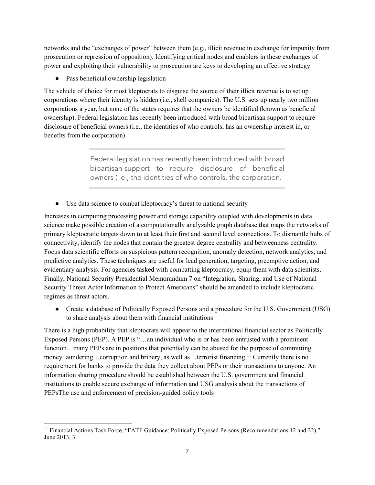networks and the "exchanges of power" between them (e.g., illicit revenue in exchange for impunity from prosecution or repression of opposition). Identifying critical nodes and enablers in these exchanges of power and exploiting their vulnerability to prosecution are keys to developing an effective strategy.

● Pass beneficial ownership legislation

The vehicle of choice for most kleptocrats to disguise the source of their illicit revenue is to set up corporations where their identity is hidden (i.e., shell companies). The U.S. sets up nearly two million corporations a year, but none of the states requires that the owners be identified (known as beneficial ownership). Federal legislation has recently been introduced with broad bipartisan support to require disclosure of beneficial owners (i.e., the identities of who controls, has an ownership interest in, or benefits from the corporation).

> Federal legislation has recently been introduced with broad bipartisan support to require disclosure of beneficial owners (i.e., the identities of who controls, the corporation.

• Use data science to combat kleptocracy's threat to national security

Increases in computing processing power and storage capability coupled with developments in data science make possible creation of a computationally analyzable graph database that maps the networks of primary kleptocratic targets down to at least their first and second level connections. To dismantle hubs of connectivity, identify the nodes that contain the greatest degree centrality and betweenness centrality. Focus data scientific efforts on suspicious pattern recognition, anomaly detection, network analytics, and predictive analytics. These techniques are useful for lead generation, targeting, preemptive action, and evidentiary analysis. For agencies tasked with combatting kleptocracy, equip them with data scientists. Finally, National Security Presidential Memorandum 7 on "Integration, Sharing, and Use of National Security Threat Actor Information to Protect Americans" should be amended to include kleptocratic regimes as threat actors.

• Create a database of Politically Exposed Persons and a procedure for the U.S. Government (USG) to share analysis about them with financial institutions

There is a high probability that kleptocrats will appear to the international financial sector as Politically Exposed Persons (PEP). A PEP is "…an individual who is or has been entrusted with a prominent function…many PEPs are in positions that potentially can be abused for the purpose of committing money laundering…corruption and bribery, as well as…terrorist financing.<sup>[11](#page-6-0)</sup> Currently there is no requirement for banks to provide the data they collect about PEPs or their transactions to anyone. An information sharing procedure should be established between the U.S. government and financial institutions to enable secure exchange of information and USG analysis about the transactions of PEPsThe use and enforcement of precision-guided policy tools

<span id="page-6-0"></span> $\overline{\phantom{0}}$ <sup>11</sup> Financial Actions Task Force, "FATF Guidance: Politically Exposed Persons (Recommendations 12 and 22)," June 2013, 3.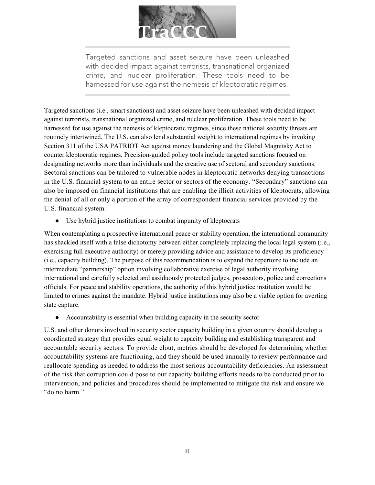

Targeted sanctions and asset seizure have been unleashed with decided impact against terrorists, transnational organized crime, and nuclear proliferation. These tools need to be harnessed for use against the nemesis of kleptocratic regimes.

Targeted sanctions (i.e., smart sanctions) and asset seizure have been unleashed with decided impact against terrorists, transnational organized crime, and nuclear proliferation. These tools need to be harnessed for use against the nemesis of kleptocratic regimes, since these national security threats are routinely intertwined. The U.S. can also lend substantial weight to international regimes by invoking Section 311 of the USA PATRIOT Act against money laundering and the Global Magnitsky Act to counter kleptocratic regimes. Precision-guided policy tools include targeted sanctions focused on designating networks more than individuals and the creative use of sectoral and secondary sanctions. Sectoral sanctions can be tailored to vulnerable nodes in kleptocratic networks denying transactions in the U.S. financial system to an entire sector or sectors of the economy. "Secondary" sanctions can also be imposed on financial institutions that are enabling the illicit activities of kleptocrats, allowing the denial of all or only a portion of the array of correspondent financial services provided by the U.S. financial system.

● Use hybrid justice institutions to combat impunity of kleptocrats

When contemplating a prospective international peace or stability operation, the international community has shackled itself with a false dichotomy between either completely replacing the local legal system (i.e., exercising full executive authority) or merely providing advice and assistance to develop its proficiency (i.e., capacity building). The purpose of this recommendation is to expand the repertoire to include an intermediate "partnership" option involving collaborative exercise of legal authority involving international and carefully selected and assiduously protected judges, prosecutors, police and corrections officials. For peace and stability operations, the authority of this hybrid justice institution would be limited to crimes against the mandate. Hybrid justice institutions may also be a viable option for averting state capture.

● Accountability is essential when building capacity in the security sector

U.S. and other donors involved in security sector capacity building in a given country should develop a coordinated strategy that provides equal weight to capacity building and establishing transparent and accountable security sectors. To provide clout, metrics should be developed for determining whether accountability systems are functioning, and they should be used annually to review performance and reallocate spending as needed to address the most serious accountability deficiencies. An assessment of the risk that corruption could pose to our capacity building efforts needs to be conducted prior to intervention, and policies and procedures should be implemented to mitigate the risk and ensure we "do no harm."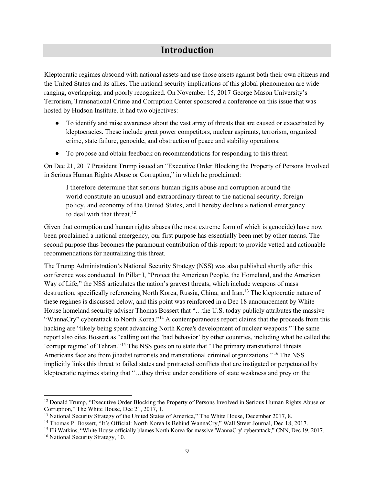# **Introduction**

<span id="page-8-0"></span>Kleptocratic regimes abscond with national assets and use those assets against both their own citizens and the United States and its allies. The national security implications of this global phenomenon are wide ranging, overlapping, and poorly recognized. On November 15, 2017 George Mason University's Terrorism, Transnational Crime and Corruption Center sponsored a conference on this issue that was hosted by Hudson Institute. It had two objectives:

- To identify and raise awareness about the vast array of threats that are caused or exacerbated by kleptocracies. These include great power competitors, nuclear aspirants, terrorism, organized crime, state failure, genocide, and obstruction of peace and stability operations.
- To propose and obtain feedback on recommendations for responding to this threat.

On Dec 21, 2017 President Trump issued an "Executive Order Blocking the Property of Persons Involved in Serious Human Rights Abuse or Corruption," in which he proclaimed:

I therefore determine that serious human rights abuse and corruption around the world constitute an unusual and extraordinary threat to the national security, foreign policy, and economy of the United States, and I hereby declare a national emergency to deal with that threat.<sup>[12](#page-8-1)</sup>

Given that corruption and human rights abuses (the most extreme form of which is genocide) have now been proclaimed a national emergency, our first purpose has essentially been met by other means. The second purpose thus becomes the paramount contribution of this report: to provide vetted and actionable recommendations for neutralizing this threat.

The Trump Administration's National Security Strategy (NSS) was also published shortly after this conference was conducted. In Pillar I, "Protect the American People, the Homeland, and the American Way of Life," the NSS articulates the nation's gravest threats, which include weapons of mass destruction, specifically referencing North Korea, Russia, China, and Iran.<sup>[13](#page-8-2)</sup> The kleptocratic nature of these regimes is discussed below, and this point was reinforced in a Dec 18 announcement by White House homeland security adviser Thomas Bossert that "...the U.S. today publicly attributes the massive "WannaCry" cyberattack to North Korea."<sup>[14](#page-8-3)</sup> A contemporaneous report claims that the proceeds from this hacking are "likely being spent advancing North Korea's development of nuclear weapons." The same report also cites Bossert as "calling out the 'bad behavior' by other countries, including what he called the 'corrupt regime' of Tehran."[15](#page-8-4) The NSS goes on to state that "The primary transnational threats Americans face are from jihadist terrorists and transnational criminal organizations." <sup>[16](#page-8-5)</sup> The NSS implicitly links this threat to failed states and protracted conflicts that are instigated or perpetuated by kleptocratic regimes stating that "…they thrive under conditions of state weakness and prey on the

l

<span id="page-8-1"></span><sup>&</sup>lt;sup>12</sup> Donald Trump, "Executive Order Blocking the Property of Persons Involved in Serious Human Rights Abuse or Corruption," The White House, Dec 21, 2017, 1.

<span id="page-8-2"></span><sup>&</sup>lt;sup>13</sup> National Security Strategy of the United States of America," The White House, December 2017, 8.

<span id="page-8-3"></span><sup>&</sup>lt;sup>14</sup> Thomas P. Bossert, "It's Official: North Korea Is Behind WannaCry," Wall Street Journal, Dec 18, 2017.

<span id="page-8-4"></span><sup>&</sup>lt;sup>15</sup> [Eli Watkins,](http://www.cnn.com/profiles/eli-watkins) "White House officially blames North Korea for massive 'WannaCry' cyberattack," CNN, Dec 19, 2017.

<span id="page-8-5"></span><sup>&</sup>lt;sup>16</sup> National Security Strategy, 10.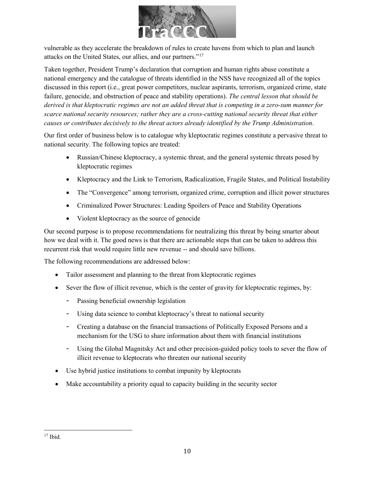

vulnerable as they accelerate the breakdown of rules to create havens from which to plan and launch attacks on the United States, our allies, and our partners."[17](#page-9-0)

Taken together, President Trump's declaration that corruption and human rights abuse constitute a national emergency and the catalogue of threats identified in the NSS have recognized all of the topics discussed in this report (i.e., great power competitors, nuclear aspirants, terrorism, organized crime, state failure, genocide, and obstruction of peace and stability operations). *The central lesson that should be derived is that kleptocratic regimes are not an added threat that is competing in a zero-sum manner for scarce national security resources; rather they are a cross-cutting national security threat that either causes or contributes decisively to the threat actors already identified by the Trump Administration*.

Our first order of business below is to catalogue why kleptocratic regimes constitute a pervasive threat to national security. The following topics are treated:

- Russian/Chinese kleptocracy, a systemic threat, and the general systemic threats posed by kleptocratic regimes
- Kleptocracy and the Link to Terrorism, Radicalization, Fragile States, and Political Instability
- The "Convergence" among terrorism, organized crime, corruption and illicit power structures
- Criminalized Power Structures: Leading Spoilers of Peace and Stability Operations
- Violent kleptocracy as the source of genocide

Our second purpose is to propose recommendations for neutralizing this threat by being smarter about how we deal with it. The good news is that there are actionable steps that can be taken to address this recurrent risk that would require little new revenue -- and should save billions.

The following recommendations are addressed below:

- Tailor assessment and planning to the threat from kleptocratic regimes
- Sever the flow of illicit revenue, which is the center of gravity for kleptocratic regimes, by:
	- Passing beneficial ownership legislation
	- Using data science to combat kleptocracy's threat to national security
	- Creating a database on the financial transactions of Politically Exposed Persons and a mechanism for the USG to share information about them with financial institutions
	- Using the Global Magnitsky Act and other precision-guided policy tools to sever the flow of illicit revenue to kleptocrats who threaten our national security
- Use hybrid justice institutions to combat impunity by kleptocrats
- Make accountability a priority equal to capacity building in the security sector

<span id="page-9-0"></span> $\overline{\phantom{0}}$  $17$  Ibid.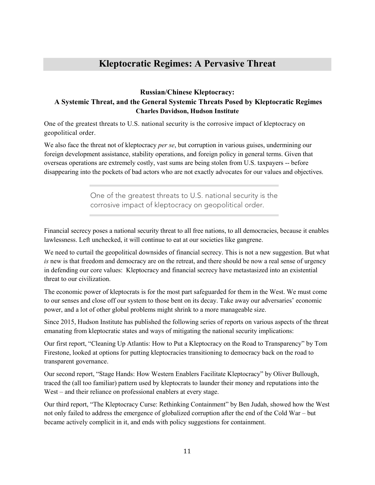# **Kleptocratic Regimes: A Pervasive Threat**

#### <span id="page-10-1"></span><span id="page-10-0"></span>**Russian/Chinese Kleptocracy: A Systemic Threat, and the General Systemic Threats Posed by Kleptocratic Regimes Charles Davidson, Hudson Institute**

One of the greatest threats to U.S. national security is the corrosive impact of kleptocracy on geopolitical order.

We also face the threat not of kleptocracy *per se*, but corruption in various guises, undermining our foreign development assistance, stability operations, and foreign policy in general terms. Given that overseas operations are extremely costly, vast sums are being stolen from U.S. taxpayers -- before disappearing into the pockets of bad actors who are not exactly advocates for our values and objectives.

> One of the greatest threats to U.S. national security is the corrosive impact of kleptocracy on geopolitical order.

Financial secrecy poses a national security threat to all free nations, to all democracies, because it enables lawlessness. Left unchecked, it will continue to eat at our societies like gangrene.

We need to curtail the geopolitical downsides of financial secrecy. This is not a new suggestion. But what *is* new is that freedom and democracy are on the retreat, and there should be now a real sense of urgency in defending our core values: Kleptocracy and financial secrecy have metastasized into an existential threat to our civilization.

The economic power of kleptocrats is for the most part safeguarded for them in the West. We must come to our senses and close off our system to those bent on its decay. Take away our adversaries' economic power, and a lot of other global problems might shrink to a more manageable size.

Since 2015, Hudson Institute has published the following series of reports on various aspects of the threat emanating from kleptocratic states and ways of mitigating the national security implications:

Our first report, ["Cleaning Up Atlantis: How to Put a Kleptocracy on the Road to Transparency"](https://www.hudson.org/research/12410-cleaning-up-atlantis-how-to-put-a-kleptocracy-on-the-road-to-transparency) by Tom Firestone, looked at options for putting kleptocracies transitioning to democracy back on the road to transparent governance.

Our second report, ["Stage Hands: How Western Enablers Facilitate Kleptocracy"](https://www.hudson.org/research/12463-stage-hands) by Oliver Bullough, traced the (all too familiar) pattern used by kleptocrats to launder their money and reputations into the West – and their reliance on professional enablers at every stage.

Our third report, ["The Kleptocracy Curse: Rethinking Containment"](https://www.hudson.org/research/12928-the-kleptocracy-curse-rethinking-containment) by Ben Judah, showed how the West not only failed to address the emergence of globalized corruption after the end of the Cold War – but became actively complicit in it, and ends with policy suggestions for containment.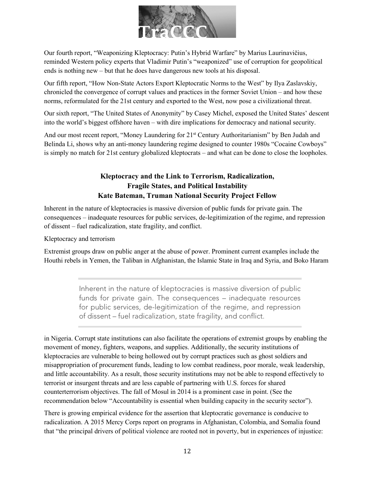

Our fourth report, ["Weaponizing Kleptocracy: Putin's Hybrid Warfare"](https://www.hudson.org/research/13666-weaponizing-kleptocracy-putin-s-hybrid-warfare) by Marius Laurinavičius, reminded Western policy experts that Vladimir Putin's "weaponized" use of corruption for geopolitical ends is nothing new – but that he does have dangerous new tools at his disposal.

Our fifth report, ["How Non-State Actors Export Kleptocratic Norms to the West"](https://www.hudson.org/research/13875-how-non-state-actors-export-kleptocratic-norms-to-the-west) by Ilya Zaslavskiy, chronicled the convergence of corrupt values and practices in the former Soviet Union – and how these norms, reformulated for the 21st century and exported to the West, now pose a civilizational threat.

Our sixth report, ["The United States of Anonymity"](https://www.hudson.org/research/13981-the-united-states-of-anonymity) by Casey Michel, exposed the United States' descent into the world's biggest offshore haven – with dire implications for democracy and national security.

<span id="page-11-0"></span>And our most recent report, "Money Laundering for 21<sup>st</sup> [Century Authoritarianism"](https://www.hudson.org/research/14020-money-laundering-for-21st-century-authoritarianism) by Ben Judah and Belinda Li, shows why an anti-money laundering regime designed to counter 1980s "Cocaine Cowboys" is simply no match for 21st century globalized kleptocrats – and what can be done to close the loopholes.

## **Kleptocracy and the Link to Terrorism, Radicalization, Fragile States, and Political Instability Kate Bateman, Truman National Security Project Fellow**

Inherent in the nature of kleptocracies is massive diversion of public funds for private gain. The consequences – inadequate resources for public services, de-legitimization of the regime, and repression of dissent – fuel radicalization, state fragility, and conflict.

Kleptocracy and terrorism

Extremist groups draw on public anger at the abuse of power. Prominent current examples include the Houthi rebels in Yemen, the Taliban in Afghanistan, the Islamic State in Iraq and Syria, and Boko Haram

> Inherent in the nature of kleptocracies is massive diversion of public funds for private gain. The consequences – inadequate resources for public services, de-legitimization of the regime, and repression of dissent – fuel radicalization, state fragility, and conflict.

in Nigeria. Corrupt state institutions can also facilitate the operations of extremist groups by enabling the movement of money, fighters, weapons, and supplies. Additionally, the security institutions of kleptocracies are vulnerable to being hollowed out by corrupt practices such as ghost soldiers and misappropriation of procurement funds, leading to low combat readiness, poor morale, weak leadership, and little accountability. As a result, those security institutions may not be able to respond effectively to terrorist or insurgent threats and are less capable of partnering with U.S. forces for shared counterterrorism objectives. The fall of Mosul in 2014 is a prominent case in point. (See the recommendation below "Accountability is essential when building capacity in the security sector").

There is growing empirical evidence for the assertion that kleptocratic governance is conducive to radicalization. A 2015 Mercy Corps report on programs in Afghanistan, Colombia, and Somalia found that "the principal drivers of political violence are rooted not in poverty, but in experiences of injustice: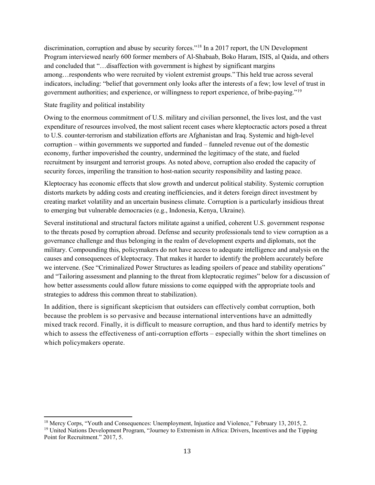discrimination, corruption and abuse by security forces."[18](#page-12-0) In a 2017 report, the UN Development Program interviewed nearly 600 former members of Al-Shabaab, Boko Haram, ISIS, al Qaida, and others and concluded that "…disaffection with government is highest by significant margins among…respondents who were recruited by violent extremist groups."This held true across several indicators, including: "belief that government only looks after the interests of a few; low level of trust in government authorities; and experience, or willingness to report experience, of bribe-paying."[19](#page-12-1)

#### State fragility and political instability

l

Owing to the enormous commitment of U.S. military and civilian personnel, the lives lost, and the vast expenditure of resources involved, the most salient recent cases where kleptocractic actors posed a threat to U.S. counter-terrorism and stabilization efforts are Afghanistan and Iraq. Systemic and high-level corruption – within governments we supported and funded – funneled revenue out of the domestic economy, further impoverished the country, undermined the legitimacy of the state, and fueled recruitment by insurgent and terrorist groups. As noted above, corruption also eroded the capacity of security forces, imperiling the transition to host-nation security responsibility and lasting peace.

Kleptocracy has economic effects that slow growth and undercut political stability. Systemic corruption distorts markets by adding costs and creating inefficiencies, and it deters foreign direct investment by creating market volatility and an uncertain business climate. Corruption is a particularly insidious threat to emerging but vulnerable democracies (e.g., Indonesia, Kenya, Ukraine).

Several institutional and structural factors militate against a unified, coherent U.S. government response to the threats posed by corruption abroad. Defense and security professionals tend to view corruption as a governance challenge and thus belonging in the realm of development experts and diplomats, not the military. Compounding this, policymakers do not have access to adequate intelligence and analysis on the causes and consequences of kleptocracy. That makes it harder to identify the problem accurately before we intervene. (See "Criminalized Power Structures as leading spoilers of peace and stability operations" and "Tailoring assessment and planning to the threat from kleptocratic regimes" below for a discussion of how better assessments could allow future missions to come equipped with the appropriate tools and strategies to address this common threat to stabilization).

In addition, there is significant skepticism that outsiders can effectively combat corruption, both because the problem is so pervasive and because international interventions have an admittedly mixed track record. Finally, it is difficult to measure corruption, and thus hard to identify metrics by which to assess the effectiveness of anti-corruption efforts – especially within the short timelines on which policymakers operate.

<span id="page-12-1"></span><span id="page-12-0"></span><sup>&</sup>lt;sup>18</sup> Mercy Corps, "Youth and Consequences: Unemployment, Injustice and Violence," February 13, 2015, 2. <sup>19</sup> United Nations Development Program, "Journey to Extremism in Africa: Drivers, Incentives and the Tipping Point for Recruitment." 2017, 5.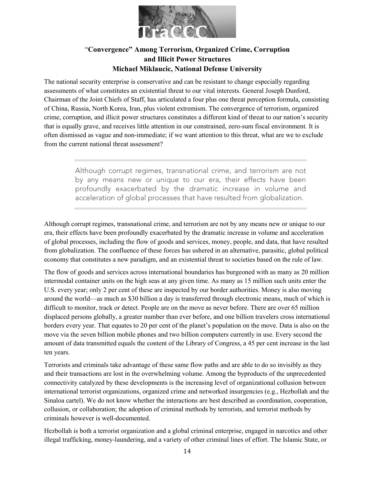

#### "**Convergence" Among Terrorism, Organized Crime, Corruption and Illicit Power Structures Michael Miklaucic, National Defense University**

<span id="page-13-0"></span>The national security enterprise is conservative and can be resistant to change especially regarding assessments of what constitutes an existential threat to our vital interests. General Joseph Dunford, Chairman of the Joint Chiefs of Staff, has articulated a four plus one threat perception formula, consisting of China, Russia, North Korea, Iran, plus violent extremism. The convergence of terrorism, organized crime, corruption, and illicit power structures constitutes a different kind of threat to our nation's security that is equally grave, and receives little attention in our constrained, zero-sum fiscal environment*.* It is often dismissed as vague and non-immediate; if we want attention to this threat, what are we to exclude from the current national threat assessment?

> Although corrupt regimes, transnational crime, and terrorism are not by any means new or unique to our era, their effects have been profoundly exacerbated by the dramatic increase in volume and acceleration of global processes that have resulted from globalization.

Although corrupt regimes, transnational crime, and terrorism are not by any means new or unique to our era, their effects have been profoundly exacerbated by the dramatic increase in volume and acceleration of global processes, including the flow of goods and services, money, people, and data, that have resulted from globalization. The confluence of these forces has ushered in an alternative, parasitic, global political economy that constitutes a new paradigm, and an existential threat to societies based on the rule of law.

The flow of goods and services across international boundaries has burgeoned with as many as 20 million intermodal container units on the high seas at any given time. As many as 15 million such units enter the U.S. every year; only 2 per cent of these are inspected by our border authorities. Money is also moving around the world—as much as \$30 billion a day is transferred through electronic means, much of which is difficult to monitor, track or detect. People are on the move as never before. There are over 65 million displaced persons globally, a greater number than ever before, and one billion travelers cross international borders every year. That equates to 20 per cent of the planet's population on the move. Data is also on the move via the seven billion mobile phones and two billion computers currently in use. Every second the amount of data transmitted equals the content of the Library of Congress, a 45 per cent increase in the last ten years.

Terrorists and criminals take advantage of these same flow paths and are able to do so invisibly as they and their transactions are lost in the overwhelming volume. Among the byproducts of the unprecedented connectivity catalyzed by these developments is the increasing level of organizational collusion between international terrorist organizations, organized crime and networked insurgencies (e.g., Hezbollah and the Sinaloa cartel). We do not know whether the interactions are best described as coordination, cooperation, collusion, or collaboration; the adoption of criminal methods by terrorists, and terrorist methods by criminals however is well-documented.

Hezbollah is both a terrorist organization and a global criminal enterprise, engaged in narcotics and other illegal trafficking, money-laundering, and a variety of other criminal lines of effort. The Islamic State, or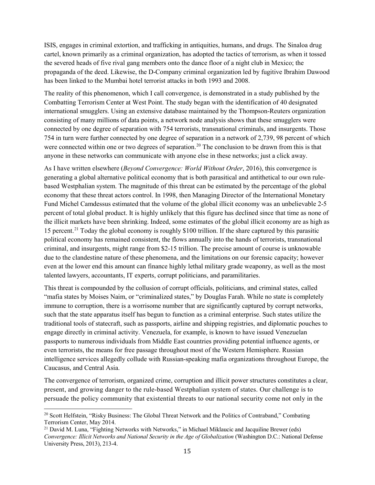ISIS, engages in criminal extortion, and trafficking in antiquities, humans, and drugs. The Sinaloa drug cartel, known primarily as a criminal organization, has adopted the tactics of terrorism, as when it tossed the severed heads of five rival gang members onto the dance floor of a night club in Mexico; the propaganda of the deed. Likewise, the D-Company criminal organization led by fugitive Ibrahim Dawood has been linked to the Mumbai hotel terrorist attacks in both 1993 and 2008.

The reality of this phenomenon, which I call convergence, is demonstrated in a study published by the Combatting Terrorism Center at West Point. The study began with the identification of 40 designated international smugglers. Using an extensive database maintained by the Thompson-Reuters organization consisting of many millions of data points, a network node analysis shows that these smugglers were connected by one degree of separation with 754 terrorists, transnational criminals, and insurgents. Those 754 in turn were further connected by one degree of separation in a network of 2,739, 98 percent of which were connected within one or two degrees of separation.<sup>[20](#page-14-0)</sup> The conclusion to be drawn from this is that anyone in these networks can communicate with anyone else in these networks; just a click away.

As I have written elsewhere (*Beyond Convergence: World Without Order*, 2016), this convergence is generating a global alternative political economy that is both parasitical and antithetical to our own rulebased Westphalian system. The magnitude of this threat can be estimated by the percentage of the global economy that these threat actors control. In 1998, then Managing Director of the International Monetary Fund Michel Camdessus estimated that the volume of the global illicit economy was an unbelievable 2-5 percent of total global product. It is highly unlikely that this figure has declined since that time as none of the illicit markets have been shrinking. Indeed, some estimates of the global illicit economy are as high as 15 percent.[21](#page-14-1) Today the global economy is roughly \$100 trillion. If the share captured by this parasitic political economy has remained consistent, the flows annually into the hands of terrorists, transnational criminal, and insurgents, might range from \$2-15 trillion. The precise amount of course is unknowable due to the clandestine nature of these phenomena, and the limitations on our forensic capacity; however even at the lower end this amount can finance highly lethal military grade weaponry, as well as the most talented lawyers, accountants, IT experts, corrupt politicians, and paramilitaries.

This threat is compounded by the collusion of corrupt officials, politicians, and criminal states, called "mafia states by Moises Naim, or "criminalized states," by Douglas Farah. While no state is completely immune to corruption, there is a worrisome number that are significantly captured by corrupt networks, such that the state apparatus itself has begun to function as a criminal enterprise. Such states utilize the traditional tools of statecraft, such as passports, airline and shipping registries, and diplomatic pouches to engage directly in criminal activity. Venezuela, for example, is known to have issued Venezuelan passports to numerous individuals from Middle East countries providing potential influence agents, or even terrorists, the means for free passage throughout most of the Western Hemisphere. Russian intelligence services allegedly collude with Russian-speaking mafia organizations throughout Europe, the Caucasus, and Central Asia.

The convergence of terrorism, organized crime, corruption and illicit power structures constitutes a clear, present, and growing danger to the rule-based Westphalian system of states. Our challenge is to persuade the policy community that existential threats to our national security come not only in the

<span id="page-14-0"></span><sup>&</sup>lt;sup>20</sup> Scott Helfstein, "Risky Business: The Global Threat Network and the Politics of Contraband," Combating Terrorism Center, May 2014.

<span id="page-14-1"></span><sup>&</sup>lt;sup>21</sup> David M. Luna, "Fighting Networks with Networks," in Michael Miklaucic and Jacquiline Brewer (eds) *Convergence: Illicit Networks and National Security in the Age of Globalization* (Washington D.C.: National Defense University Press, 2013), 213-4.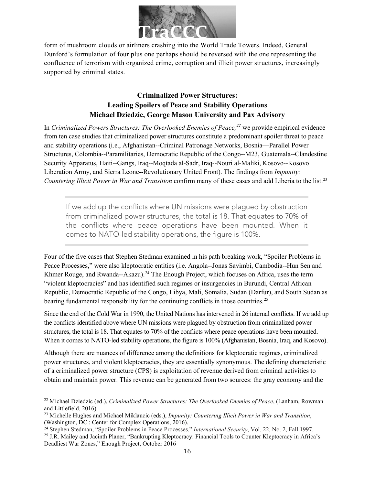

form of mushroom clouds or airliners crashing into the World Trade Towers. Indeed, General Dunford's formulation of four plus one perhaps should be reversed with the one representing the confluence of terrorism with organized crime, corruption and illicit power structures, increasingly supported by criminal states.

#### **Criminalized Power Structures: Leading Spoilers of Peace and Stability Operations Michael Dziedzic, George Mason University and Pax Advisory**

<span id="page-15-0"></span>In *Criminalized Powers Structures: The Overlooked Enemies of Peace,[22](#page-15-1)* we provide empirical evidence from ten case studies that criminalized power structures constitute a predominant spoiler threat to peace and stability operations (i.e., Afghanistan--Criminal Patronage Networks, Bosnia—Parallel Power Structures, Colombia--Paramilitaries, Democratic Republic of the Congo--M23, Guatemala--Clandestine Security Apparatus, Haiti--Gangs, Iraq--Moqtada al-Sadr, Iraq--Nouri al-Maliki, Kosovo--Kosovo Liberation Army, and Sierra Leone--Revolutionary United Front). The findings from *Impunity: Countering Illicit Power in War and Transition* confirm many of these cases and add Liberia to the list.<sup>[23](#page-15-2)</sup>

If we add up the conflicts where UN missions were plagued by obstruction from criminalized power structures, the total is 18. That equates to 70% of the conflicts where peace operations have been mounted. When it comes to NATO-led stability operations, the figure is 100%

Four of the five cases that Stephen Stedman examined in his path breaking work, "Spoiler Problems in Peace Processes," were also kleptocratic entities (i.e. Angola--Jonas Savimbi, Cambodia--Hun Sen and Khmer Rouge, and Rwanda--Akazu).<sup>[24](#page-15-3)</sup> The Enough Project, which focuses on Africa, uses the term "violent kleptocracies" and has identified such regimes or insurgencies in Burundi, Central African Republic, Democratic Republic of the Congo, Libya, Mali, Somalia, Sudan (Darfur), and South Sudan as bearing fundamental responsibility for the continuing conflicts in those countries.<sup>[25](#page-15-4)</sup>

Since the end of the Cold War in 1990, the United Nations has intervened in 26 internal conflicts. If we add up the conflicts identified above where UN missions were plagued by obstruction from criminalized power structures, the total is 18. That equates to 70% of the conflicts where peace operations have been mounted. When it comes to NATO-led stability operations, the figure is 100% (Afghanistan, Bosnia, Iraq, and Kosovo).

Although there are nuances of difference among the definitions for kleptocratic regimes, criminalized power structures, and violent kleptocracies, they are essentially synonymous. The defining characteristic of a criminalized power structure (CPS) is exploitation of revenue derived from criminal activities to obtain and maintain power. This revenue can be generated from two sources: the gray economy and the

<span id="page-15-1"></span><sup>22</sup> Michael Dziedzic (ed.), *Criminalized Power Structures: The Overlooked Enemies of Peace*, (Lanham, Rowman and Littlefield, 2016).

<span id="page-15-2"></span><sup>23</sup> Michelle Hughes and Michael Miklaucic (eds.), *Impunity: Countering Illicit Power in War and Transition*, (Washington, DC : Center for Complex Operations, 2016).

<span id="page-15-3"></span><sup>24</sup> Stephen Stedman, "Spoiler Problems in Peace Processes," *International Security*, Vol. 22, No. 2, Fall 1997.

<span id="page-15-4"></span><sup>&</sup>lt;sup>25</sup> J.R. Mailey and Jacinth Planer, "Bankrupting Kleptocracy: Financial Tools to Counter Kleptocracy in Africa's Deadliest War Zones," Enough Project, October 2016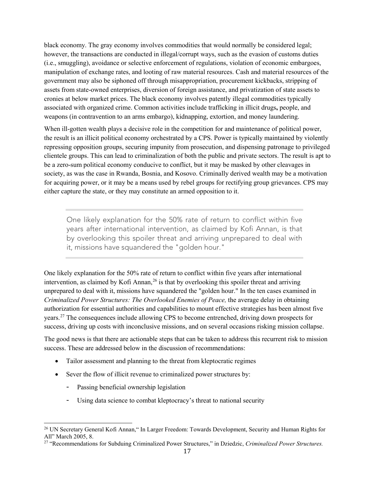black economy. The gray economy involves commodities that would normally be considered legal; however, the transactions are conducted in illegal/corrupt ways, such as the evasion of customs duties (i.e., smuggling), avoidance or selective enforcement of regulations, violation of economic embargoes, manipulation of exchange rates, and looting of raw material resources. Cash and material resources of the government may also be siphoned off through misappropriation, procurement kickbacks, stripping of assets from state-owned enterprises, diversion of foreign assistance, and privatization of state assets to cronies at below market prices. The black economy involves patently illegal commodities typically associated with organized crime. Common activities include trafficking in illicit drugs**,** people, and weapons (in contravention to an arms embargo), kidnapping, extortion, and money laundering.

When ill-gotten wealth plays a decisive role in the competition for and maintenance of political power, the result is an illicit political economy orchestrated by a CPS. Power is typically maintained by violently repressing opposition groups, securing impunity from prosecution, and dispensing patronage to privileged clientele groups. This can lead to criminalization of both the public and private sectors. The result is apt to be a zero-sum political economy conducive to conflict, but it may be masked by other cleavages in society, as was the case in Rwanda, Bosnia, and Kosovo. Criminally derived wealth may be a motivation for acquiring power, or it may be a means used by rebel groups for rectifying group grievances. CPS may either capture the state, or they may constitute an armed opposition to it.

One likely explanation for the 50% rate of return to conflict within five years after international intervention, as claimed by Kofi Annan, is that by overlooking this spoiler threat and arriving unprepared to deal with it, missions have squandered the "golden hour."

One likely explanation for the 50% rate of return to conflict within five years after international intervention, as claimed by Kofi Annan,<sup>26</sup> is that by overlooking this spoiler threat and arriving unprepared to deal with it, missions have squandered the "golden hour." In the ten cases examined in *Criminalized Power Structures: The Overlooked Enemies of Peace,* the average delay in obtaining authorization for essential authorities and capabilities to mount effective strategies has been almost five years.[27](#page-16-1) The consequences include allowing CPS to become entrenched, driving down prospects for success, driving up costs with inconclusive missions, and on several occasions risking mission collapse.

The good news is that there are actionable steps that can be taken to address this recurrent risk to mission success. These are addressed below in the discussion of recommendations:

- Tailor assessment and planning to the threat from kleptocratic regimes
- Sever the flow of illicit revenue to criminalized power structures by:
	- Passing beneficial ownership legislation

l

Using data science to combat kleptocracy's threat to national security

<span id="page-16-0"></span><sup>26</sup> UN Secretary General Kofi Annan," In Larger Freedom: Towards Development, Security and Human Rights for All" March 2005, 8.

<span id="page-16-1"></span><sup>27</sup> "Recommendations for Subduing Criminalized Power Structures," in Dziedzic, *Criminalized Power Structures.*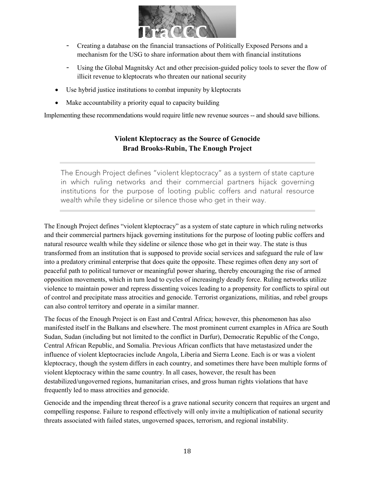

- Creating a database on the financial transactions of Politically Exposed Persons and a mechanism for the USG to share information about them with financial institutions
- Using the Global Magnitsky Act and other precision-guided policy tools to sever the flow of illicit revenue to kleptocrats who threaten our national security
- Use hybrid justice institutions to combat impunity by kleptocrats
- Make accountability a priority equal to capacity building

<span id="page-17-0"></span>Implementing these recommendations would require little new revenue sources -- and should save billions.

# **Violent Kleptocracy as the Source of Genocide Brad Brooks-Rubin, The Enough Project**

The Enough Project defines "violent kleptocracy" as a system of state capture in which ruling networks and their commercial partners hijack governing institutions for the purpose of looting public coffers and natural resource wealth while they sideline or silence those who get in their way.

The Enough Project defines "violent kleptocracy" as a system of state capture in which ruling networks and their commercial partners hijack governing institutions for the purpose of looting public coffers and natural resource wealth while they sideline or silence those who get in their way. The state is thus transformed from an institution that is supposed to provide social services and safeguard the rule of law into a predatory criminal enterprise that does quite the opposite. These regimes often deny any sort of peaceful path to political turnover or meaningful power sharing, thereby encouraging the rise of armed opposition movements, which in turn lead to cycles of increasingly deadly force. Ruling networks utilize violence to maintain power and repress dissenting voices leading to a propensity for conflicts to spiral out of control and precipitate mass atrocities and genocide. Terrorist organizations, militias, and rebel groups can also control territory and operate in a similar manner.

The focus of the Enough Project is on East and Central Africa; however, this phenomenon has also manifested itself in the Balkans and elsewhere. The most prominent current examples in Africa are South Sudan, Sudan (including but not limited to the conflict in Darfur), Democratic Republic of the Congo, Central African Republic, and Somalia. Previous African conflicts that have metastasized under the influence of violent kleptocracies include Angola, Liberia and Sierra Leone. Each is or was a violent kleptocracy, though the system differs in each country, and sometimes there have been multiple forms of violent kleptocracy within the same country. In all cases, however, the result has been destabilized/ungoverned regions, humanitarian crises, and gross human rights violations that have frequently led to mass atrocities and genocide.

Genocide and the impending threat thereof is a grave national security concern that requires an urgent and compelling response. Failure to respond effectively will only invite a multiplication of national security threats associated with failed states, ungoverned spaces, terrorism, and regional instability.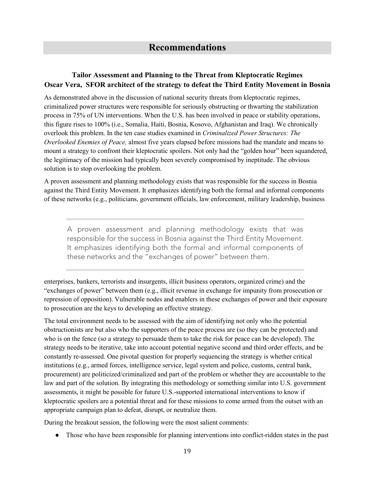### <span id="page-18-1"></span><span id="page-18-0"></span>**Tailor Assessment and Planning to the Threat from Kleptocratic Regimes Oscar Vera, SFOR architect of the strategy to defeat the Third Entity Movement in Bosnia**

As demonstrated above in the discussion of national security threats from kleptocratic regimes, criminalized power structures were responsible for seriously obstructing or thwarting the stabilization process in 75% of UN interventions. When the U.S. has been involved in peace or stability operations, this figure rises to 100% (i.e., Somalia, Haiti, Bosnia, Kosovo, Afghanistan and Iraq). We chronically overlook this problem. In the ten case studies examined in *Criminalized Power Structures: The Overlooked Enemies of Peace,* almost five years elapsed before missions had the mandate and means to mount a strategy to confront their kleptocratic spoilers. Not only had the "golden hour" been squandered, the legitimacy of the mission had typically been severely compromised by ineptitude. The obvious solution is to stop overlooking the problem.

A proven assessment and planning methodology exists that was responsible for the success in Bosnia against the Third Entity Movement. It emphasizes identifying both the formal and informal components of these networks (e.g., politicians, government officials, law enforcement, military leadership, business

A proven assessment and planning methodology exists that was responsible for the success in Bosnia against the Third Entity Movement. It emphasizes identifying both the formal and informal components of these networks and the "exchanges of power" between them.

enterprises, bankers, terrorists and insurgents, illicit business operators, organized crime) and the "exchanges of power" between them (e.g., illicit revenue in exchange for impunity from prosecution or repression of opposition). Vulnerable nodes and enablers in these exchanges of power and their exposure to prosecution are the keys to developing an effective strategy.

The total environment needs to be assessed with the aim of identifying not only who the potential obstructionists are but also who the supporters of the peace process are (so they can be protected) and who is on the fence (so a strategy to persuade them to take the risk for peace can be developed). The strategy needs to be iterative, take into account potential negative second and third order effects, and be constantly re-assessed. One pivotal question for properly sequencing the strategy is whether critical institutions (e.g., armed forces, intelligence service, legal system and police, customs, central bank, procurement) are politicized/criminalized and part of the problem or whether they are accountable to the law and part of the solution. By integrating this methodology or something similar into U.S. government assessments, it might be possible for future U.S.-supported international interventions to know if kleptocratic spoilers are a potential threat and for these missions to come armed from the outset with an appropriate campaign plan to defeat, disrupt, or neutralize them.

During the breakout session, the following were the most salient comments:

● Those who have been responsible for planning interventions into conflict-ridden states in the past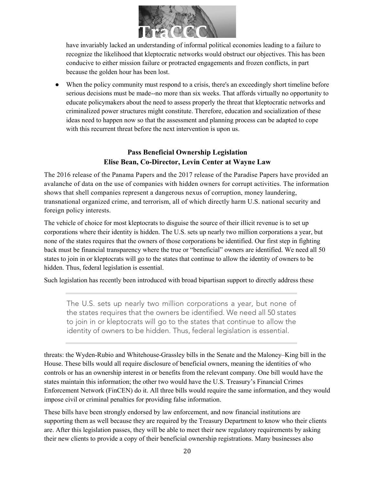

have invariably lacked an understanding of informal political economies leading to a failure to recognize the likelihood that kleptocratic networks would obstruct our objectives. This has been conducive to either mission failure or protracted engagements and frozen conflicts, in part because the golden hour has been lost.

• When the policy community must respond to a crisis, there's an exceedingly short timeline before serious decisions must be made--no more than six weeks. That affords virtually no opportunity to educate policymakers about the need to assess properly the threat that kleptocratic networks and criminalized power structures might constitute. Therefore, education and socialization of these ideas need to happen now so that the assessment and planning process can be adapted to cope with this recurrent threat before the next intervention is upon us.

#### **Pass Beneficial Ownership Legislation Elise Bean, Co-Director, Levin Center at Wayne Law**

<span id="page-19-0"></span>The 2016 release of the Panama Papers and the 2017 release of the Paradise Papers have provided an avalanche of data on the use of companies with hidden owners for corrupt activities. The information shows that shell companies represent a dangerous nexus of corruption, money laundering, transnational organized crime, and terrorism, all of which directly harm U.S. national security and foreign policy interests.

The vehicle of choice for most kleptocrats to disguise the source of their illicit revenue is to set up corporations where their identity is hidden. The U.S. sets up nearly two million corporations a year, but none of the states requires that the owners of those corporations be identified. Our first step in fighting back must be financial transparency where the true or "beneficial" owners are identified. We need all 50 states to join in or kleptocrats will go to the states that continue to allow the identity of owners to be hidden. Thus, federal legislation is essential.

Such legislation has recently been introduced with broad bipartisan support to directly address these

The U.S. sets up nearly two million corporations a year, but none of the states requires that the owners be identified. We need all 50 states to join in or kleptocrats will go to the states that continue to allow the identity of owners to be hidden. Thus, federal legislation is essential.

threats: the Wyden-Rubio and Whitehouse-Grassley bills in the Senate and the Maloney–King bill in the House. These bills would all require disclosure of beneficial owners, meaning the identities of who controls or has an ownership interest in or benefits from the relevant company. One bill would have the states maintain this information; the other two would have the U.S. Treasury's Financial Crimes Enforcement Network (FinCEN) do it. All three bills would require the same information, and they would impose civil or criminal penalties for providing false information.

These bills have been strongly endorsed by law enforcement, and now financial institutions are supporting them as well because they are required by the Treasury Department to know who their clients are. After this legislation passes, they will be able to meet their new regulatory requirements by asking their new clients to provide a copy of their beneficial ownership registrations. Many businesses also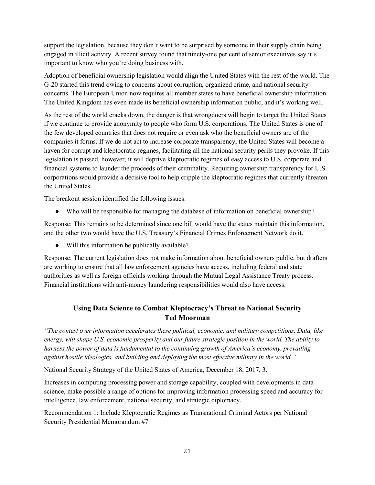support the legislation, because they don't want to be surprised by someone in their supply chain being engaged in illicit activity. A recent survey found that ninety-one per cent of senior executives say it's important to know who you're doing business with.

Adoption of beneficial ownership legislation would align the United States with the rest of the world. The G-20 started this trend owing to concerns about corruption, organized crime, and national security concerns. The European Union now requires all member states to have beneficial ownership information. The United Kingdom has even made its beneficial ownership information public, and it's working well.

As the rest of the world cracks down, the danger is that wrongdoers will begin to target the United States if we continue to provide anonymity to people who form U.S. corporations. The United States is one of the few developed countries that does not require or even ask who the beneficial owners are of the companies it forms. If we do not act to increase corporate transparency, the United States will become a haven for corrupt and kleptocratic regimes, facilitating all the national security perils they provoke. If this legislation is passed, however, it will deprive kleptocratic regimes of easy access to U.S. corporate and financial systems to launder the proceeds of their criminality. Requiring ownership transparency for U.S. corporations would provide a decisive tool to help cripple the kleptocratic regimes that currently threaten the United States.

The breakout session identified the following issues:

• Who will be responsible for managing the database of information on beneficial ownership?

Response: This remains to be determined since one bill would have the states maintain this information, and the other two would have the U.S. Treasury's Financial Crimes Enforcement Network do it.

• Will this information be publically available?

Response: The current legislation does not make information about beneficial owners public, but drafters are working to ensure that all law enforcement agencies have access, including federal and state authorities as well as foreign officials working through the Mutual Legal Assistance Treaty process. Financial institutions with anti-money laundering responsibilities would also have access.

#### **Using Data Science to Combat Kleptocracy's Threat to National Security Ted Moorman**

<span id="page-20-0"></span>*"The contest over information accelerates these political, economic, and military competitions. Data, like energy, will shape U.S. economic prosperity and our future strategic position in the world. The ability to harness the power of data is fundamental to the continuing growth of America's economy, prevailing against hostile ideologies, and building and deploying the most effective military in the world."*

National Security Strategy of the United States of America, December 18, 2017, 3.

Increases in computing processing power and storage capability, coupled with developments in data science, make possible a range of options for improving information processing speed and accuracy for intelligence, law enforcement, national security, and strategic diplomacy.

Recommendation 1: Include Kleptocratic Regimes as Transnational Criminal Actors per National Security Presidential Memorandum #7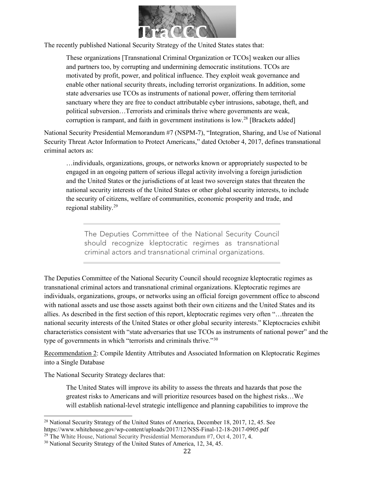

The recently published National Security Strategy of the United States states that:

These organizations [Transnational Criminal Organization or TCOs] weaken our allies and partners too, by corrupting and undermining democratic institutions. TCOs are motivated by profit, power, and political influence. They exploit weak governance and enable other national security threats, including terrorist organizations. In addition, some state adversaries use TCOs as instruments of national power, offering them territorial sanctuary where they are free to conduct attributable cyber intrusions, sabotage, theft, and political subversion…Terrorists and criminals thrive where governments are weak, corruption is rampant, and faith in government institutions is  $low.^{28}$  $low.^{28}$  $low.^{28}$  [Brackets added]

National Security Presidential Memorandum #7 (NSPM-7), "Integration, Sharing, and Use of National Security Threat Actor Information to Protect Americans," dated October 4, 2017, defines transnational criminal actors as:

…individuals, organizations, groups, or networks known or appropriately suspected to be engaged in an ongoing pattern of serious illegal activity involving a foreign jurisdiction and the United States or the jurisdictions of at least two sovereign states that threaten the national security interests of the United States or other global security interests, to include the security of citizens, welfare of communities, economic prosperity and trade, and regional stability.[29](#page-21-1)

The Deputies Committee of the National Security Council should recognize kleptocratic regimes as transnational criminal actors and transnational criminal organizations.

The Deputies Committee of the National Security Council should recognize kleptocratic regimes as transnational criminal actors and transnational criminal organizations. Kleptocratic regimes are individuals, organizations, groups, or networks using an official foreign government office to abscond with national assets and use those assets against both their own citizens and the United States and its allies. As described in the first section of this report, kleptocratic regimes very often "…threaten the national security interests of the United States or other global security interests." Kleptocracies exhibit characteristics consistent with "state adversaries that use TCOs as instruments of national power" and the type of governments in which "terrorists and criminals thrive."[30](#page-21-2)

Recommendation 2: Compile Identity Attributes and Associated Information on Kleptocratic Regimes into a Single Database

The National Security Strategy declares that:

 $\overline{a}$ 

The United States will improve its ability to assess the threats and hazards that pose the greatest risks to Americans and will prioritize resources based on the highest risks…We will establish national-level strategic intelligence and planning capabilities to improve the

<span id="page-21-0"></span><sup>&</sup>lt;sup>28</sup> National Security Strategy of the United States of America, December 18, 2017, 12, 45. See <https://www.whitehouse.gov/wp-content/uploads/2017/12/NSS-Final-12-18-2017-0905.pdf>

<span id="page-21-1"></span><sup>&</sup>lt;sup>29</sup> The White House, National Security Presidential Memorandum  $#7$ , Oct 4, 2017, 4.

<span id="page-21-2"></span><sup>30</sup> National Security Strategy of the United States of America, 12, 34, 45.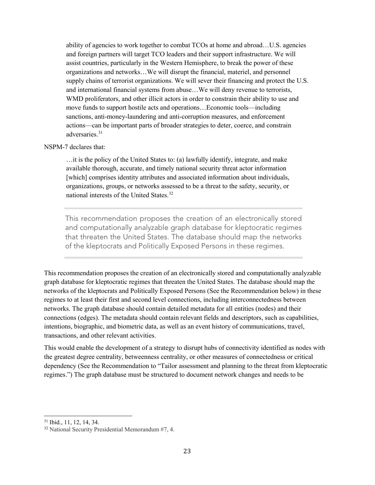ability of agencies to work together to combat TCOs at home and abroad…U.S. agencies and foreign partners will target TCO leaders and their support infrastructure. We will assist countries, particularly in the Western Hemisphere, to break the power of these organizations and networks…We will disrupt the financial, materiel, and personnel supply chains of terrorist organizations. We will sever their financing and protect the U.S. and international financial systems from abuse…We will deny revenue to terrorists, WMD proliferators, and other illicit actors in order to constrain their ability to use and move funds to support hostile acts and operations…Economic tools—including sanctions, anti-money-laundering and anti-corruption measures, and enforcement actions—can be important parts of broader strategies to deter, coerce, and constrain adversaries.<sup>[31](#page-22-0)</sup>

#### NSPM-7 declares that:

…it is the policy of the United States to: (a) lawfully identify, integrate, and make available thorough, accurate, and timely national security threat actor information [which] comprises identity attributes and associated information about individuals, organizations, groups, or networks assessed to be a threat to the safety, security, or national interests of the United States.[32](#page-22-1)

This recommendation proposes the creation of an electronically stored and computationally analyzable graph database for kleptocratic regimes that threaten the United States. The database should map the networks of the kleptocrats and Politically Exposed Persons in these regimes.

This recommendation proposes the creation of an electronically stored and computationally analyzable graph database for kleptocratic regimes that threaten the United States. The database should map the networks of the kleptocrats and Politically Exposed Persons (See the Recommendation below) in these regimes to at least their first and second level connections, including interconnectedness between networks. The graph database should contain detailed metadata for all entities (nodes) and their connections (edges). The metadata should contain relevant fields and descriptors, such as capabilities, intentions, biographic, and biometric data, as well as an event history of communications, travel, transactions, and other relevant activities.

This would enable the development of a strategy to disrupt hubs of connectivity identified as nodes with the greatest degree centrality, betweenness centrality, or other measures of connectedness or critical dependency (See the Recommendation to "Tailor assessment and planning to the threat from kleptocratic regimes.") The graph database must be structured to document network changes and needs to be

 $\overline{a}$ 

<span id="page-22-0"></span><sup>31</sup> Ibid., 11, 12, 14, 34.

<span id="page-22-1"></span><sup>32</sup> National Security Presidential Memorandum #7, 4.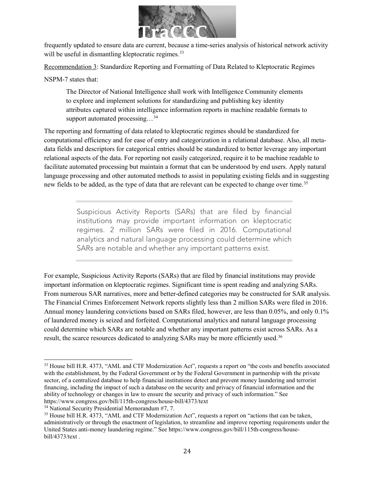

frequently updated to ensure data are current, because a time-series analysis of historical network activity will be useful in dismantling kleptocratic regimes.<sup>[33](#page-23-0)</sup>

Recommendation 3: Standardize Reporting and Formatting of Data Related to Kleptocratic Regimes

NSPM-7 states that:

The Director of National Intelligence shall work with Intelligence Community elements to explore and implement solutions for standardizing and publishing key identity attributes captured within intelligence information reports in machine readable formats to support automated processing...<sup>[34](#page-23-1)</sup>

The reporting and formatting of data related to kleptocratic regimes should be standardized for computational efficiency and for ease of entry and categorization in a relational database. Also, all metadata fields and descriptors for categorical entries should be standardized to better leverage any important relational aspects of the data. For reporting not easily categorized, require it to be machine readable to facilitate automated processing but maintain a format that can be understood by end users. Apply natural language processing and other automated methods to assist in populating existing fields and in suggesting new fields to be added, as the type of data that are relevant can be expected to change over time.<sup>[35](#page-23-2)</sup>

> Suspicious Activity Reports (SARs) that are filed by financial institutions may provide important information on kleptocratic regimes. 2 million SARs were filed in 2016. Computational analytics and natural language processing could determine which SARs are notable and whether any important patterns exist.

For example, Suspicious Activity Reports (SARs) that are filed by financial institutions may provide important information on kleptocratic regimes. Significant time is spent reading and analyzing SARs. From numerous SAR narratives, more and better-defined categories may be constructed for SAR analysis. The Financial Crimes Enforcement Network reports slightly less than 2 million SARs were filed in 2016. Annual money laundering convictions based on SARs filed, however, are less than 0.05%, and only 0.1% of laundered money is seized and forfeited. Computational analytics and natural language processing could determine which SARs are notable and whether any important patterns exist across SARs. As a result, the scarce resources dedicated to analyzing SARs may be more efficiently used.<sup>[36](#page-23-3)</sup>

l

<span id="page-23-3"></span><span id="page-23-0"></span><sup>&</sup>lt;sup>33</sup> House bill H.R. 4373, "AML and CTF Modernization Act", requests a report on "the costs and benefits associated with the establishment, by the Federal Government or by the Federal Government in partnership with the private sector, of a centralized database to help financial institutions detect and prevent money laundering and terrorist financing, including the impact of such a database on the security and privacy of financial information and the ability of technology or changes in law to ensure the security and privacy of such information." See <https://www.congress.gov/bill/115th-congress/house-bill/4373/text>

<span id="page-23-1"></span><sup>34</sup> National Security Presidential Memorandum #7, 7.

<span id="page-23-2"></span><sup>&</sup>lt;sup>35</sup> House bill H.R. 4373, "AML and CTF Modernization Act", requests a report on "actions that can be taken, administratively or through the enactment of legislation, to streamline and improve reporting requirements under the United States anti-money laundering regime." See [https://www.congress.gov/bill/115th-congress/house](https://www.congress.gov/bill/115th-congress/house-bill/4373/text)[bill/4373/text](https://www.congress.gov/bill/115th-congress/house-bill/4373/text) .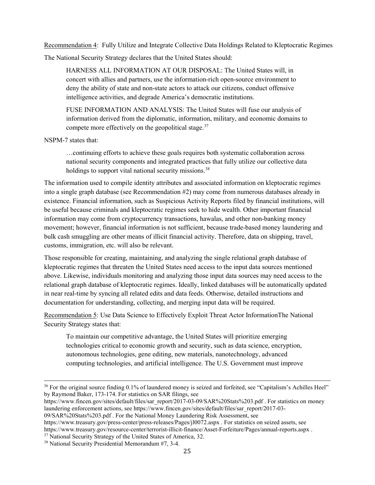Recommendation 4: Fully Utilize and Integrate Collective Data Holdings Related to Kleptocratic Regimes

The National Security Strategy declares that the United States should:

HARNESS ALL INFORMATION AT OUR DISPOSAL: The United States will, in concert with allies and partners, use the information-rich open-source environment to deny the ability of state and non-state actors to attack our citizens, conduct offensive intelligence activities, and degrade America's democratic institutions.

FUSE INFORMATION AND ANALYSIS: The United States will fuse our analysis of information derived from the diplomatic, information, military, and economic domains to compete more effectively on the geopolitical stage. $37$ 

NSPM-7 states that:

l

…continuing efforts to achieve these goals requires both systematic collaboration across national security components and integrated practices that fully utilize our collective data holdings to support vital national security missions.<sup>[38](#page-24-1)</sup>

The information used to compile identity attributes and associated information on kleptocratic regimes into a single graph database (see Recommendation #2) may come from numerous databases already in existence. Financial information, such as Suspicious Activity Reports filed by financial institutions, will be useful because criminals and kleptocratic regimes seek to hide wealth. Other important financial information may come from cryptocurrency transactions, hawalas, and other non-banking money movement; however, financial information is not sufficient, because trade-based money laundering and bulk cash smuggling are other means of illicit financial activity. Therefore, data on shipping, travel, customs, immigration, etc. will also be relevant.

Those responsible for creating, maintaining, and analyzing the single relational graph database of kleptocratic regimes that threaten the United States need access to the input data sources mentioned above. Likewise, individuals monitoring and analyzing those input data sources may need access to the relational graph database of kleptocratic regimes. Ideally, linked databases will be automatically updated in near real-time by syncing all related edits and data feeds. Otherwise, detailed instructions and documentation for understanding, collecting, and merging input data will be required.

Recommendation 5: Use Data Science to Effectively Exploit Threat Actor InformationThe National Security Strategy states that:

To maintain our competitive advantage, the United States will prioritize emerging technologies critical to economic growth and security, such as data science, encryption, autonomous technologies, gene editing, new materials, nanotechnology, advanced computing technologies, and artificial intelligence. The U.S. Government must improve

<https://www.treasury.gov/press-center/press-releases/Pages/jl0072.aspx> . For statistics on seized assets, see <https://www.treasury.gov/resource-center/terrorist-illicit-finance/Asset-Forfeiture/Pages/annual-reports.aspx> .

<sup>&</sup>lt;sup>36</sup> For the original source finding 0.1% of laundered money is seized and forfeited, see "Capitalism's Achilles Heel" by Raymond Baker, 173-174. For statistics on SAR filings, see

[https://www.fincen.gov/sites/default/files/sar\\_report/2017-03-09/SAR%20Stats%203.pdf](https://www.fincen.gov/sites/default/files/sar_report/2017-03-09/SAR%20Stats%203.pdf) . For statistics on money laundering enforcement actions, see [https://www.fincen.gov/sites/default/files/sar\\_report/2017-03-](https://www.fincen.gov/sites/default/files/sar_report/2017-03-09/SAR%20Stats%203.pdf) [09/SAR%20Stats%203.pdf](https://www.fincen.gov/sites/default/files/sar_report/2017-03-09/SAR%20Stats%203.pdf) . For the National Money Laundering Risk Assessment, see

<span id="page-24-0"></span><sup>&</sup>lt;sup>37</sup> National Security Strategy of the United States of America, 32.

<span id="page-24-1"></span><sup>38</sup> National Security Presidential Memorandum #7, 3-4.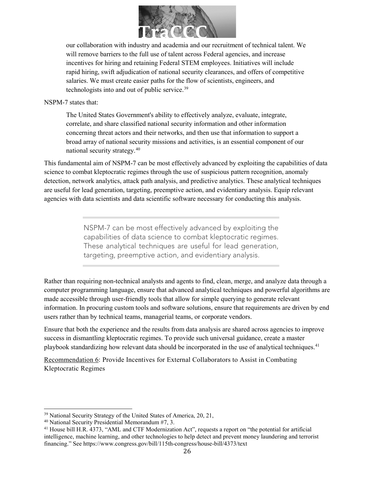

our collaboration with industry and academia and our recruitment of technical talent. We will remove barriers to the full use of talent across Federal agencies, and increase incentives for hiring and retaining Federal STEM employees. Initiatives will include rapid hiring, swift adjudication of national security clearances, and offers of competitive salaries. We must create easier paths for the flow of scientists, engineers, and technologists into and out of public service.<sup>[39](#page-25-0)</sup>

#### NSPM-7 states that:

The United States Government's ability to effectively analyze, evaluate, integrate, correlate, and share classified national security information and other information concerning threat actors and their networks, and then use that information to support a broad array of national security missions and activities, is an essential component of our national security strategy.[40](#page-25-1)

This fundamental aim of NSPM-7 can be most effectively advanced by exploiting the capabilities of data science to combat kleptocratic regimes through the use of suspicious pattern recognition, anomaly detection, network analytics, attack path analysis, and predictive analytics. These analytical techniques are useful for lead generation, targeting, preemptive action, and evidentiary analysis. Equip relevant agencies with data scientists and data scientific software necessary for conducting this analysis.

> NSPM-7 can be most effectively advanced by exploiting the capabilities of data science to combat kleptocratic regimes. These analytical techniques are useful for lead generation, targeting, preemptive action, and evidentiary analysis.

Rather than requiring non-technical analysts and agents to find, clean, merge, and analyze data through a computer programming language, ensure that advanced analytical techniques and powerful algorithms are made accessible through user-friendly tools that allow for simple querying to generate relevant information. In procuring custom tools and software solutions, ensure that requirements are driven by end users rather than by technical teams, managerial teams, or corporate vendors.

Ensure that both the experience and the results from data analysis are shared across agencies to improve success in dismantling kleptocratic regimes. To provide such universal guidance, create a master playbook standardizing how relevant data should be incorporated in the use of analytical techniques.<sup>[41](#page-25-2)</sup>

Recommendation 6: Provide Incentives for External Collaborators to Assist in Combating Kleptocratic Regimes

<span id="page-25-0"></span><sup>&</sup>lt;sup>39</sup> National Security Strategy of the United States of America, 20, 21,

<span id="page-25-1"></span><sup>40</sup> National Security Presidential Memorandum #7, 3.

<span id="page-25-2"></span><sup>41</sup> House bill H.R. 4373, "AML and CTF Modernization Act", requests a report on "the potential for artificial intelligence, machine learning, and other technologies to help detect and prevent money laundering and terrorist financing." See<https://www.congress.gov/bill/115th-congress/house-bill/4373/text>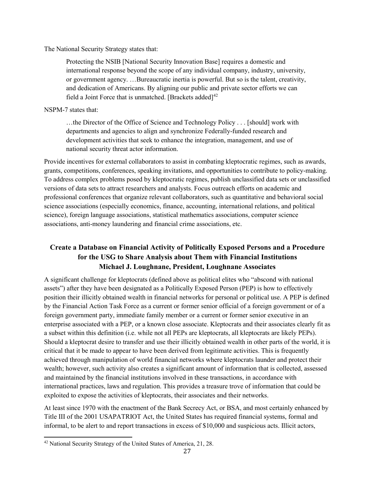The National Security Strategy states that:

Protecting the NSIB [National Security Innovation Base] requires a domestic and international response beyond the scope of any individual company, industry, university, or government agency. …Bureaucratic inertia is powerful. But so is the talent, creativity, and dedication of Americans. By aligning our public and private sector efforts we can field a Joint Force that is unmatched. [Brackets added] $^{42}$  $^{42}$  $^{42}$ 

NSPM-7 states that:

…the Director of the Office of Science and Technology Policy . . . [should] work with departments and agencies to align and synchronize Federally-funded research and development activities that seek to enhance the integration, management, and use of national security threat actor information.

Provide incentives for external collaborators to assist in combating kleptocratic regimes, such as awards, grants, competitions, conferences, speaking invitations, and opportunities to contribute to policy-making. To address complex problems posed by kleptocratic regimes, publish unclassified data sets or unclassified versions of data sets to attract researchers and analysts. Focus outreach efforts on academic and professional conferences that organize relevant collaborators, such as quantitative and behavioral social science associations (especially economics, finance, accounting, international relations, and political science), foreign language associations, statistical mathematics associations, computer science associations, anti-money laundering and financial crime associations, etc.

#### <span id="page-26-0"></span>**Create a Database on Financial Activity of Politically Exposed Persons and a Procedure for the USG to Share Analysis about Them with Financial Institutions Michael J. Loughnane, President, Loughnane Associates**

A significant challenge for kleptocrats (defined above as political elites who "abscond with national assets") after they have been designated as a Politically Exposed Person (PEP) is how to effectively position their illicitly obtained wealth in financial networks for personal or political use. A PEP is defined by the Financial Action Task Force as a current or former senior official of a foreign government or of a foreign government party, immediate family member or a current or former senior executive in an enterprise associated with a PEP, or a known close associate. Kleptocrats and their associates clearly fit as a subset within this definition (i.e. while not all PEPs are kleptocrats, all kleptocrats are likely PEPs). Should a kleptocrat desire to transfer and use their illicitly obtained wealth in other parts of the world, it is critical that it be made to appear to have been derived from legitimate activities. This is frequently achieved through manipulation of world financial networks where kleptocrats launder and protect their wealth; however, such activity also creates a significant amount of information that is collected, assessed and maintained by the financial institutions involved in these transactions, in accordance with international practices, laws and regulation. This provides a treasure trove of information that could be exploited to expose the activities of kleptocrats, their associates and their networks.

At least since 1970 with the enactment of the Bank Secrecy Act, or BSA, and most certainly enhanced by Title III of the 2001 USAPATRIOT Act, the United States has required financial systems, formal and informal, to be alert to and report transactions in excess of \$10,000 and suspicious acts. Illicit actors,

<span id="page-26-1"></span><sup>42</sup> National Security Strategy of the United States of America, 21, 28.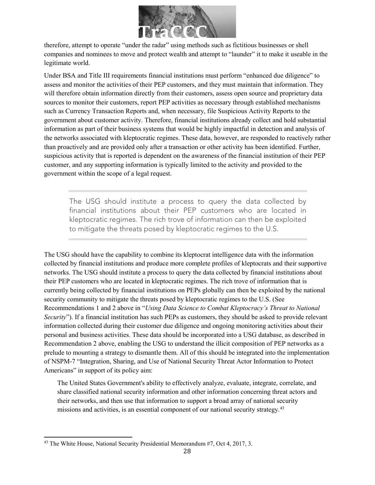

therefore, attempt to operate "under the radar" using methods such as fictitious businesses or shell companies and nominees to move and protect wealth and attempt to "launder" it to make it useable in the legitimate world.

Under BSA and Title III requirements financial institutions must perform "enhanced due diligence" to assess and monitor the activities of their PEP customers, and they must maintain that information. They will therefore obtain information directly from their customers, assess open source and proprietary data sources to monitor their customers, report PEP activities as necessary through established mechanisms such as Currency Transaction Reports and, when necessary, file Suspicious Activity Reports to the government about customer activity. Therefore, financial institutions already collect and hold substantial information as part of their business systems that would be highly impactful in detection and analysis of the networks associated with kleptocratic regimes. These data, however, are responded to reactively rather than proactively and are provided only after a transaction or other activity has been identified. Further, suspicious activity that is reported is dependent on the awareness of the financial institution of their PEP customer, and any supporting information is typically limited to the activity and provided to the government within the scope of a legal request.

The USG should institute a process to query the data collected by financial institutions about their PEP customers who are located in kleptocratic regimes. The rich trove of information can then be exploited to mitigate the threats posed by kleptocratic regimes to the U.S.

The USG should have the capability to combine its kleptocrat intelligence data with the information collected by financial institutions and produce more complete profiles of kleptocrats and their supportive networks. The USG should institute a process to query the data collected by financial institutions about their PEP customers who are located in kleptocratic regimes. The rich trove of information that is currently being collected by financial institutions on PEPs globally can then be exploited by the national security community to mitigate the threats posed by kleptocratic regimes to the U.S. (See Recommendations 1 and 2 above in "*Using Data Science to Combat Kleptocracy's Threat to National Security*"). If a financial institution has such PEPs as customers, they should be asked to provide relevant information collected during their customer due diligence and ongoing monitoring activities about their personal and business activities. These data should be incorporated into a USG database, as described in Recommendation 2 above, enabling the USG to understand the illicit composition of PEP networks as a prelude to mounting a strategy to dismantle them. All of this should be integrated into the implementation of NSPM-7 "Integration, Sharing, and Use of National Security Threat Actor Information to Protect Americans" in support of its policy aim:

The United States Government's ability to effectively analyze, evaluate, integrate, correlate, and share classified national security information and other information concerning threat actors and their networks, and then use that information to support a broad array of national security missions and activities, is an essential component of our national security strategy.<sup>[43](#page-27-0)</sup>

<span id="page-27-0"></span><sup>&</sup>lt;sup>43</sup> The White House, National Security Presidential Memorandum #7, Oct 4, 2017, 3.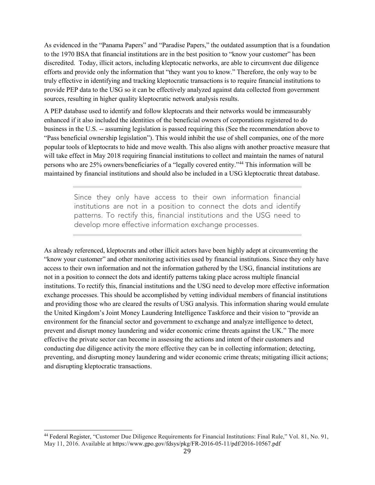As evidenced in the "Panama Papers" and "Paradise Papers," the outdated assumption that is a foundation to the 1970 BSA that financial institutions are in the best position to "know your customer" has been discredited. Today, illicit actors, including kleptocatic networks, are able to circumvent due diligence efforts and provide only the information that "they want you to know." Therefore, the only way to be truly effective in identifying and tracking kleptocratic transactions is to require financial institutions to provide PEP data to the USG so it can be effectively analyzed against data collected from government sources, resulting in higher quality kleptocratic network analysis results.

A PEP database used to identify and follow kleptocrats and their networks would be immeasurably enhanced if it also included the identities of the beneficial owners of corporations registered to do business in the U.S. -- assuming legislation is passed requiring this (See the recommendation above to "Pass beneficial ownership legislation"). This would inhibit the use of shell companies, one of the more popular tools of kleptocrats to hide and move wealth. This also aligns with another proactive measure that will take effect in May 2018 requiring financial institutions to collect and maintain the names of natural persons who are 25% owners/beneficiaries of a "legally covered entity."[44](#page-28-0) This information will be maintained by financial institutions and should also be included in a USG kleptocratic threat database.

> Since they only have access to their own information financial institutions are not in a position to connect the dots and identify patterns. To rectify this, financial institutions and the USG need to develop more effective information exchange processes.

As already referenced, kleptocrats and other illicit actors have been highly adept at circumventing the "know your customer" and other monitoring activities used by financial institutions. Since they only have access to their own information and not the information gathered by the USG, financial institutions are not in a position to connect the dots and identify patterns taking place across multiple financial institutions. To rectify this, financial institutions and the USG need to develop more effective information exchange processes. This should be accomplished by vetting individual members of financial institutions and providing those who are cleared the results of USG analysis. This information sharing would emulate the United Kingdom's Joint Money Laundering Intelligence Taskforce and their vision to "provide an environment for the financial sector and government to exchange and analyze intelligence to detect, prevent and disrupt money laundering and wider economic crime threats against the UK." The more effective the private sector can become in assessing the actions and intent of their customers and conducting due diligence activity the more effective they can be in collecting information; detecting, preventing, and disrupting money laundering and wider economic crime threats; mitigating illicit actions; and disrupting kleptocratic transactions.

<span id="page-28-0"></span><sup>44</sup> Federal Register, "Customer Due Diligence Requirements for Financial Institutions: Final Rule," Vol. 81, No. 91, May 11, 2016. Available at [https://www.gpo.gov/fdsys/pkg/FR-2016-05-11/pdf/2016-10567.pdf](https://www.gpo.gov/fdsys/pkg/FR-2016-05-11/pdf/2016-10567.pdfHope)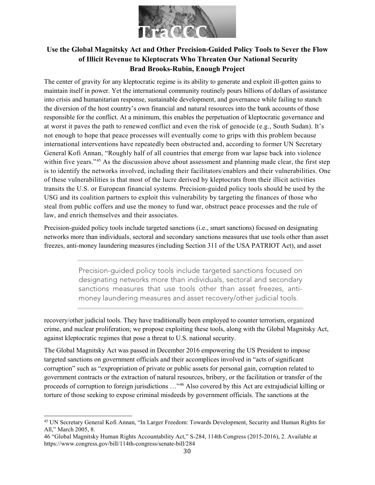

# <span id="page-29-0"></span>**Use the Global Magnitsky Act and Other Precision-Guided Policy Tools to Sever the Flow of Illicit Revenue to Kleptocrats Who Threaten Our National Security Brad Brooks-Rubin, Enough Project**

The center of gravity for any kleptocratic regime is its ability to generate and exploit ill-gotten gains to maintain itself in power. Yet the international community routinely pours billions of dollars of assistance into crisis and humanitarian response, sustainable development, and governance while failing to stanch the diversion of the host country's own financial and natural resources into the bank accounts of those responsible for the conflict. At a minimum, this enables the perpetuation of kleptocratic governance and at worst it paves the path to renewed conflict and even the risk of genocide (e.g., South Sudan). It's not enough to hope that peace processes will eventually come to grips with this problem because international interventions have repeatedly been obstructed and, according to former UN Secretary General Kofi Annan, "Roughly half of all countries that emerge from war lapse back into violence within five years."<sup>[45](#page-29-1)</sup> As the discussion above about assessment and planning made clear, the first step is to identify the networks involved, including their facilitators/enablers and their vulnerabilities. One of these vulnerabilities is that most of the lucre derived by kleptocrats from their illicit activities transits the U.S. or European financial systems. Precision-guided policy tools should be used by the USG and its coalition partners to exploit this vulnerability by targeting the finances of those who steal from public coffers and use the money to fund war, obstruct peace processes and the rule of law, and enrich themselves and their associates.

Precision-guided policy tools include targeted sanctions (i.e., smart sanctions) focused on designating networks more than individuals, sectoral and secondary sanctions measures that use tools other than asset freezes, anti-money laundering measures (including Section 311 of the USA PATRIOT Act), and asset

> Precision-guided policy tools include targeted sanctions focused on designating networks more than individuals, sectoral and secondary sanctions measures that use tools other than asset freezes, antimoney laundering measures and asset recovery/other judicial tools.

recovery/other judicial tools. They have traditionally been employed to counter terrorism, organized crime, and nuclear proliferation; we propose exploiting these tools, along with the Global Magnitsky Act, against kleptocratic regimes that pose a threat to U.S. national security.

The Global Magnitsky Act was passed in December 2016 empowering the US President to impose targeted sanctions on government officials and their accomplices involved in "acts of significant corruption" such as "expropriation of private or public assets for personal gain, corruption related to government contracts or the extraction of natural resources, bribery, or the facilitation or transfer of the proceeds of corruption to foreign jurisdictions …"[46](#page-29-2) Also covered by this Act are extrajudicial killing or torture of those seeking to expose criminal misdeeds by government officials. The sanctions at the

<span id="page-29-1"></span> $\overline{a}$ <sup>45</sup> UN Secretary General Kofi Annan, "In Larger Freedom: Towards Development, Security and Human Rights for All," March 2005, 8.

<span id="page-29-2"></span><sup>46</sup> "Global Magnitsky Human Rights Accountability Act," S-284, 114th Congress (2015-2016), 2. Available at https://www.congress.gov/bill/114th-congress/senate-bill/284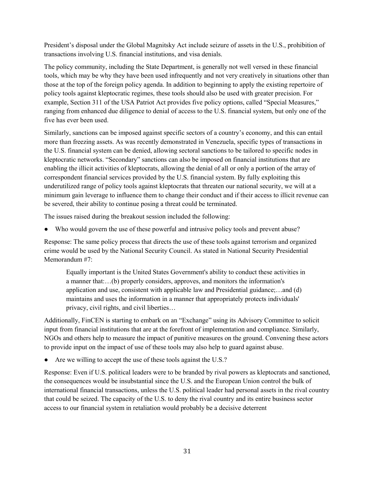President's disposal under the Global Magnitsky Act include seizure of assets in the U.S., prohibition of transactions involving U.S. financial institutions, and visa denials.

The policy community, including the State Department, is generally not well versed in these financial tools, which may be why they have been used infrequently and not very creatively in situations other than those at the top of the foreign policy agenda. In addition to beginning to apply the existing repertoire of policy tools against kleptocratic regimes, these tools should also be used with greater precision. For example, Section 311 of the USA Patriot Act provides five policy options, called "Special Measures," ranging from enhanced due diligence to denial of access to the U.S. financial system, but only one of the five has ever been used.

Similarly, sanctions can be imposed against specific sectors of a country's economy, and this can entail more than freezing assets. As was recently demonstrated in Venezuela, specific types of transactions in the U.S. financial system can be denied, allowing sectoral sanctions to be tailored to specific nodes in kleptocratic networks. "Secondary" sanctions can also be imposed on financial institutions that are enabling the illicit activities of kleptocrats, allowing the denial of all or only a portion of the array of correspondent financial services provided by the U.S. financial system. By fully exploiting this underutilized range of policy tools against kleptocrats that threaten our national security, we will at a minimum gain leverage to influence them to change their conduct and if their access to illicit revenue can be severed, their ability to continue posing a threat could be terminated.

The issues raised during the breakout session included the following:

● Who would govern the use of these powerful and intrusive policy tools and prevent abuse?

Response: The same policy process that directs the use of these tools against terrorism and organized crime would be used by the National Security Council. As stated in National Security Presidential Memorandum #7:

Equally important is the United States Government's ability to conduct these activities in a manner that:…(b) properly considers, approves, and monitors the information's application and use, consistent with applicable law and Presidential guidance;…and (d) maintains and uses the information in a manner that appropriately protects individuals' privacy, civil rights, and civil liberties…

Additionally, FinCEN is starting to embark on an "Exchange" using its Advisory Committee to solicit input from financial institutions that are at the forefront of implementation and compliance. Similarly, NGOs and others help to measure the impact of punitive measures on the ground. Convening these actors to provide input on the impact of use of these tools may also help to guard against abuse.

● Are we willing to accept the use of these tools against the U.S.?

<span id="page-30-0"></span>Response: Even if U.S. political leaders were to be branded by rival powers as kleptocrats and sanctioned, the consequences would be insubstantial since the U.S. and the European Union control the bulk of international financial transactions, unless the U.S. political leader had personal assets in the rival country that could be seized. The capacity of the U.S. to deny the rival country and its entire business sector access to our financial system in retaliation would probably be a decisive deterrent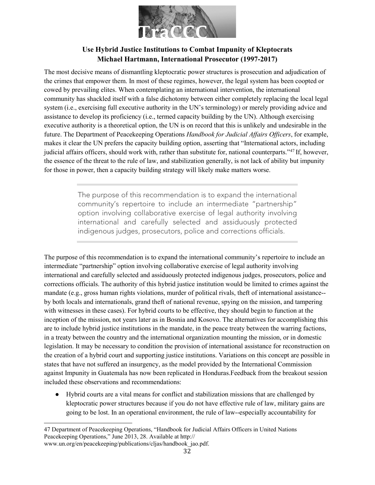

## **Use Hybrid Justice Institutions to Combat Impunity of Kleptocrats Michael Hartmann, International Prosecutor (1997-2017)**

The most decisive means of dismantling kleptocratic power structures is prosecution and adjudication of the crimes that empower them. In most of these regimes, however, the legal system has been coopted or cowed by prevailing elites. When contemplating an international intervention, the international community has shackled itself with a false dichotomy between either completely replacing the local legal system (i.e., exercising full executive authority in the UN's terminology) or merely providing advice and assistance to develop its proficiency (i.e., termed capacity building by the UN). Although exercising executive authority is a theoretical option, the UN is on record that this is unlikely and undesirable in the future. The Department of Peacekeeping Operations *Handbook for Judicial Affairs Officers*, for example, makes it clear the UN prefers the capacity building option, asserting that "International actors, including judicial affairs officers, should work with, rather than substitute for, national counterparts."[47](#page-31-0) If, however, the essence of the threat to the rule of law, and stabilization generally, is not lack of ability but impunity for those in power, then a capacity building strategy will likely make matters worse.

> The purpose of this recommendation is to expand the international community's repertoire to include an intermediate "partnership" option involving collaborative exercise of legal authority involving international and carefully selected and assiduously protected indigenous judges, prosecutors, police and corrections officials.

The purpose of this recommendation is to expand the international community's repertoire to include an intermediate "partnership" option involving collaborative exercise of legal authority involving international and carefully selected and assiduously protected indigenous judges, prosecutors, police and corrections officials. The authority of this hybrid justice institution would be limited to crimes against the mandate (e.g., gross human rights violations, murder of political rivals, theft of international assistance- by both locals and internationals, grand theft of national revenue, spying on the mission, and tampering with witnesses in these cases). For hybrid courts to be effective, they should begin to function at the inception of the mission, not years later as in Bosnia and Kosovo. The alternatives for accomplishing this are to include hybrid justice institutions in the mandate, in the peace treaty between the warring factions, in a treaty between the country and the international organization mounting the mission, or in domestic legislation. It may be necessary to condition the provision of international assistance for reconstruction on the creation of a hybrid court and supporting justice institutions. Variations on this concept are possible in states that have not suffered an insurgency, as the model provided by the International Commission against Impunity in Guatemala has now been replicated in Honduras.Feedback from the breakout session included these observations and recommendations:

● Hybrid courts are a vital means for conflict and stabilization missions that are challenged by kleptocratic power structures because if you do not have effective rule of law, military gains are going to be lost. In an operational environment, the rule of law--especially accountability for

<span id="page-31-0"></span>l 47 Department of Peacekeeping Operations, "Handbook for Judicial Affairs Officers in United Nations Peacekeeping Operations," June 2013, 28. Available at http://

[www.un.org/en/peacekeeping/publications/cljas/handbook\\_jao.pdf.](http://www.un.org/en/peacekeeping/publications/cljas/handbook_jao.pdf)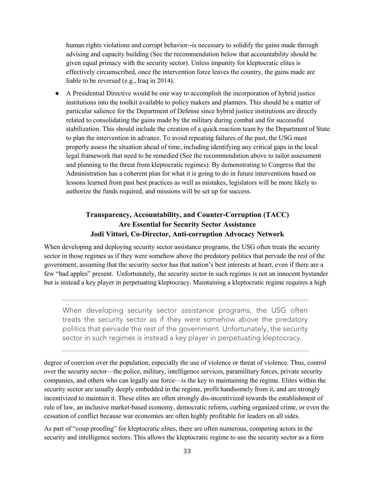human rights violations and corrupt behavior--is necessary to solidify the gains made through advising and capacity building (See the recommendation below that accountability should be given equal primacy with the security sector). Unless impunity for kleptocratic elites is effectively circumscribed, once the intervention force leaves the country, the gains made are liable to be reversed (e.g., Iraq in 2014).

● A Presidential Directive would be one way to accomplish the incorporation of hybrid justice institutions into the toolkit available to policy makers and planners. This should be a matter of particular salience for the Department of Defense since hybrid justice institutions are directly related to consolidating the gains made by the military during combat and for successful stabilization. This should include the creation of a quick reaction team by the Department of State to plan the intervention in advance. To avoid repeating failures of the past, the USG must properly assess the situation ahead of time, including identifying any critical gaps in the local legal framework that need to be remedied (See the recommendation above to tailor assessment and planning to the threat from kleptocratic regimes). By demonstrating to Congress that the Administration has a coherent plan for what it is going to do in future interventions based on lessons learned from past best practices as well as mistakes, legislators will be more likely to authorize the funds required, and missions will be set up for success.

## **Transparency, Accountability, and Counter-Corruption (TACC) Are Essential for Security Sector Assistance Jodi Vittori, Co-Director, Anti-corruption Advocacy Network**

<span id="page-32-0"></span>When developing and deploying security sector assistance programs, the USG often treats the security sector in those regimes as if they were somehow above the predatory politics that pervade the rest of the government, assuming that the security sector has that nation's best interests at heart, even if there are a few "bad apples" present. Unfortunately, the security sector in such regimes is not an innocent bystander but is instead a key player in perpetuating kleptocracy. Maintaining a kleptocratic regime requires a high

When developing security sector assistance programs, the USG often treats the security sector as if they were somehow above the predatory politics that pervade the rest of the government. Unfortunately, the security sector in such regimes is instead a key player in perpetuating kleptocracy.

degree of coercion over the population, especially the use of violence or threat of violence. Thus, control over the security sector—the police, military, intelligence services, paramilitary forces, private security companies, and others who can legally use force—is the key to maintaining the regime. Elites within the security sector are usually deeply embedded in the regime, profit handsomely from it, and are strongly incentivized to maintain it. These elites are often strongly dis-incentivized towards the establishment of rule of law, an inclusive market-based economy, democratic reform, curbing organized crime, or even the cessation of conflict because war economies are often highly profitable for leaders on all sides.

As part of "coup proofing" for kleptocratic elites, there are often numerous, competing actors in the security and intelligence sectors. This allows the kleptocratic regime to use the security sector as a form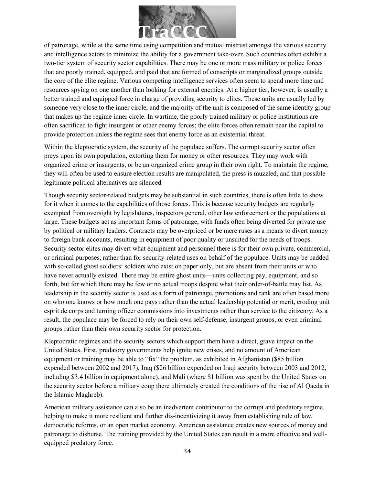

of patronage, while at the same time using competition and mutual mistrust amongst the various security and intelligence actors to minimize the ability for a government take-over. Such countries often exhibit a two-tier system of security sector capabilities. There may be one or more mass military or police forces that are poorly trained, equipped, and paid that are formed of conscripts or marginalized groups outside the core of the elite regime. Various competing intelligence services often seem to spend more time and resources spying on one another than looking for external enemies. At a higher tier, however, is usually a better trained and equipped force in charge of providing security to elites. These units are usually led by someone very close to the inner circle, and the majority of the unit is composed of the same identity group that makes up the regime inner circle. In wartime, the poorly trained military or police institutions are often sacrificed to fight insurgent or other enemy forces; the elite forces often remain near the capital to provide protection unless the regime sees that enemy force as an existential threat.

Within the kleptocratic system, the security of the populace suffers. The corrupt security sector often preys upon its own population, extorting them for money or other resources. They may work with organized crime or insurgents, or be an organized crime group in their own right. To maintain the regime, they will often be used to ensure election results are manipulated, the press is muzzled, and that possible legitimate political alternatives are silenced.

Though security sector-related budgets may be substantial in such countries, there is often little to show for it when it comes to the capabilities of those forces. This is because security budgets are regularly exempted from oversight by legislatures, inspectors general, other law enforcement or the populations at large. These budgets act as important forms of patronage, with funds often being diverted for private use by political or military leaders. Contracts may be overpriced or be mere ruses as a means to divert money to foreign bank accounts, resulting in equipment of poor quality or unsuited for the needs of troops. Security sector elites may divert what equipment and personnel there is for their own private, commercial, or criminal purposes, rather than for security-related uses on behalf of the populace. Units may be padded with so-called ghost soldiers: soldiers who exist on paper only, but are absent from their units or who have never actually existed. There may be entire ghost units—units collecting pay, equipment, and so forth, but for which there may be few or no actual troops despite what their order-of-battle may list. As leadership in the security sector is used as a form of patronage, promotions and rank are often based more on who one knows or how much one pays rather than the actual leadership potential or merit, eroding unit esprit de corps and turning officer commissions into investments rather than service to the citizenry. As a result, the populace may be forced to rely on their own self-defense, insurgent groups, or even criminal groups rather than their own security sector for protection.

Kleptocratic regimes and the security sectors which support them have a direct, grave impact on the United States. First, predatory governments help ignite new crises, and no amount of American equipment or training may be able to "fix" the problem, as exhibited in Afghanistan (\$85 billion expended between 2002 and 2017), Iraq (\$26 billion expended on Iraqi security between 2003 and 2012, including \$3.4 billion in equipment alone), and Mali (where \$1 billion was spent by the United States on the security sector before a military coup there ultimately created the conditions of the rise of Al Qaeda in the Islamic Maghreb).

American military assistance can also be an inadvertent contributor to the corrupt and predatory regime, helping to make it more resilient and further dis-incentivizing it away from establishing rule of law, democratic reforms, or an open market economy. American assistance creates new sources of money and patronage to disburse. The training provided by the United States can result in a more effective and wellequipped predatory force.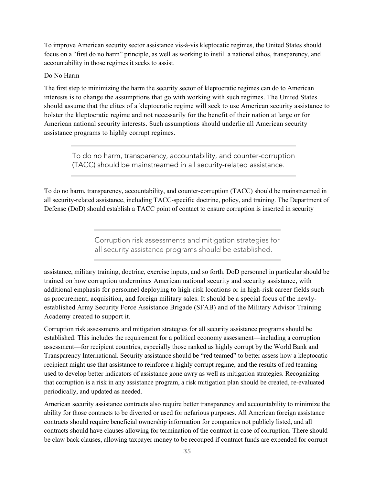To improve American security sector assistance vis-à-vis kleptocatic regimes, the United States should focus on a "first do no harm" principle, as well as working to instill a national ethos, transparency, and accountability in those regimes it seeks to assist.

#### Do No Harm

The first step to minimizing the harm the security sector of kleptocratic regimes can do to American interests is to change the assumptions that go with working with such regimes. The United States should assume that the elites of a kleptocratic regime will seek to use American security assistance to bolster the kleptocratic regime and not necessarily for the benefit of their nation at large or for American national security interests. Such assumptions should underlie all American security assistance programs to highly corrupt regimes.

To do no harm, transparency, accountability, and counter-corruption (TACC) should be mainstreamed in all security-related assistance.

To do no harm, transparency, accountability, and counter-corruption (TACC) should be mainstreamed in all security-related assistance, including TACC-specific doctrine, policy, and training. The Department of Defense (DoD) should establish a TACC point of contact to ensure corruption is inserted in security

> Corruption risk assessments and mitigation strategies for all security assistance programs should be established.

assistance, military training, doctrine, exercise inputs, and so forth. DoD personnel in particular should be trained on how corruption undermines American national security and security assistance, with additional emphasis for personnel deploying to high-risk locations or in high-risk career fields such as procurement, acquisition, and foreign military sales. It should be a special focus of the newlyestablished Army Security Force Assistance Brigade (SFAB) and of the Military Advisor Training Academy created to support it.

Corruption risk assessments and mitigation strategies for all security assistance programs should be established. This includes the requirement for a political economy assessment—including a corruption assessment—for recipient countries, especially those ranked as highly corrupt by the World Bank and Transparency International. Security assistance should be "red teamed" to better assess how a kleptocatic recipient might use that assistance to reinforce a highly corrupt regime, and the results of red teaming used to develop better indicators of assistance gone awry as well as mitigation strategies. Recognizing that corruption is a risk in any assistance program, a risk mitigation plan should be created, re-evaluated periodically, and updated as needed.

American security assistance contracts also require better transparency and accountability to minimize the ability for those contracts to be diverted or used for nefarious purposes. All American foreign assistance contracts should require beneficial ownership information for companies not publicly listed, and all contracts should have clauses allowing for termination of the contract in case of corruption. There should be claw back clauses, allowing taxpayer money to be recouped if contract funds are expended for corrupt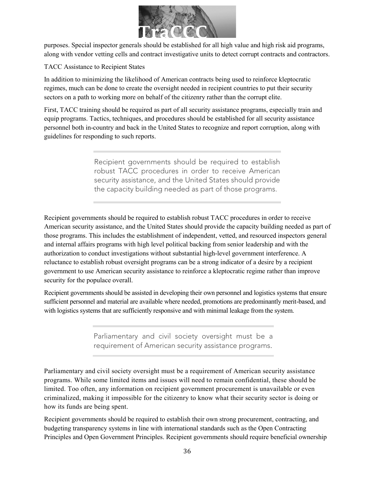

purposes. Special inspector generals should be established for all high value and high risk aid programs, along with vendor vetting cells and contract investigative units to detect corrupt contracts and contractors.

TACC Assistance to Recipient States

In addition to minimizing the likelihood of American contracts being used to reinforce kleptocratic regimes, much can be done to create the oversight needed in recipient countries to put their security sectors on a path to working more on behalf of the citizenry rather than the corrupt elite.

First, TACC training should be required as part of all security assistance programs, especially train and equip programs. Tactics, techniques, and procedures should be established for all security assistance personnel both in-country and back in the United States to recognize and report corruption, along with guidelines for responding to such reports.

> Recipient governments should be required to establish robust TACC procedures in order to receive American security assistance, and the United States should provide the capacity building needed as part of those programs.

Recipient governments should be required to establish robust TACC procedures in order to receive American security assistance, and the United States should provide the capacity building needed as part of those programs. This includes the establishment of independent, vetted, and resourced inspectors general and internal affairs programs with high level political backing from senior leadership and with the authorization to conduct investigations without substantial high-level government interference. A reluctance to establish robust oversight programs can be a strong indicator of a desire by a recipient government to use American security assistance to reinforce a kleptocratic regime rather than improve security for the populace overall.

Recipient governments should be assisted in developing their own personnel and logistics systems that ensure sufficient personnel and material are available where needed, promotions are predominantly merit-based, and with logistics systems that are sufficiently responsive and with minimal leakage from the system.

> Parliamentary and civil society oversight must be a requirement of American security assistance programs.

Parliamentary and civil society oversight must be a requirement of American security assistance programs. While some limited items and issues will need to remain confidential, these should be limited. Too often, any information on recipient government procurement is unavailable or even criminalized, making it impossible for the citizenry to know what their security sector is doing or how its funds are being spent.

Recipient governments should be required to establish their own strong procurement, contracting, and budgeting transparency systems in line with international standards such as the Open Contracting Principles and Open Government Principles. Recipient governments should require beneficial ownership